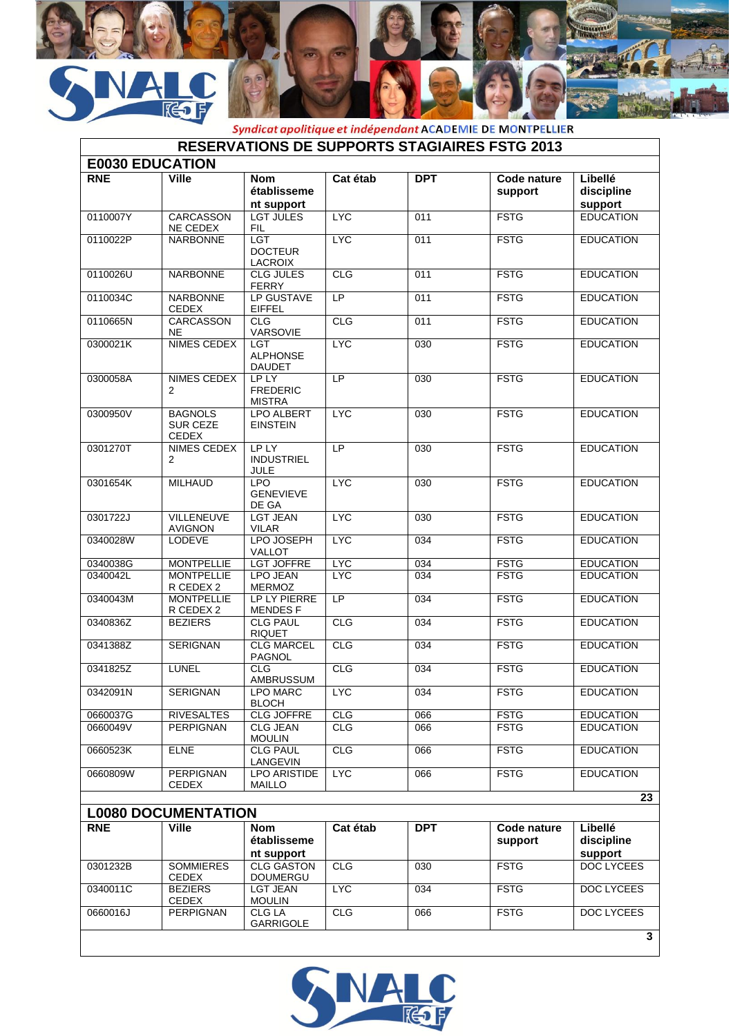

|                        |                                                   |                                                |            |                  | <i>Syndicat apolitique et indépendant</i> ACADEMIE DE MONTPELLIER |                                  |
|------------------------|---------------------------------------------------|------------------------------------------------|------------|------------------|-------------------------------------------------------------------|----------------------------------|
|                        |                                                   |                                                |            |                  | <b>RESERVATIONS DE SUPPORTS STAGIAIRES FSTG 2013</b>              |                                  |
| <b>E0030 EDUCATION</b> |                                                   |                                                |            |                  |                                                                   |                                  |
| <b>RNE</b>             | <b>Ville</b>                                      | <b>Nom</b><br>établisseme<br>nt support        | Cat étab   | <b>DPT</b>       | Code nature<br>support                                            | Libellé<br>discipline<br>support |
| 0110007Y               | <b>CARCASSON</b><br>NE CEDEX                      | <b>LGT JULES</b><br><b>FIL</b>                 | <b>LYC</b> | 011              | <b>FSTG</b>                                                       | <b>EDUCATION</b>                 |
| 0110022P               | <b>NARBONNE</b>                                   | <b>LGT</b><br><b>DOCTEUR</b><br><b>LACROIX</b> | <b>LYC</b> | 011              | <b>FSTG</b>                                                       | <b>EDUCATION</b>                 |
| 0110026U               | <b>NARBONNE</b>                                   | <b>CLG JULES</b><br><b>FERRY</b>               | CLG        | 011              | <b>FSTG</b>                                                       | <b>EDUCATION</b>                 |
| 0110034C               | <b>NARBONNE</b><br><b>CEDEX</b>                   | LP GUSTAVE<br><b>EIFFEL</b>                    | LP         | 011              | <b>FSTG</b>                                                       | <b>EDUCATION</b>                 |
| 0110665N               | <b>CARCASSON</b><br><b>NE</b>                     | <b>CLG</b><br>VARSOVIE                         | CLG        | 011              | <b>FSTG</b>                                                       | <b>EDUCATION</b>                 |
| 0300021K               | <b>NIMES CEDEX</b>                                | <b>LGT</b><br><b>ALPHONSE</b><br><b>DAUDET</b> | <b>LYC</b> | 030              | <b>FSTG</b>                                                       | <b>EDUCATION</b>                 |
| 0300058A               | <b>NIMES CEDEX</b><br>$\overline{2}$              | LP LY<br><b>FREDERIC</b><br><b>MISTRA</b>      | LP         | 030              | <b>FSTG</b>                                                       | <b>EDUCATION</b>                 |
| 0300950V               | <b>BAGNOLS</b><br><b>SUR CEZE</b><br><b>CEDEX</b> | <b>LPO ALBERT</b><br><b>EINSTEIN</b>           | <b>LYC</b> | 030              | <b>FSTG</b>                                                       | <b>EDUCATION</b>                 |
| 0301270T               | NIMES CEDEX<br>2                                  | <b>LP LY</b><br><b>INDUSTRIEL</b><br>JULE      | LP         | 030              | <b>FSTG</b>                                                       | <b>EDUCATION</b>                 |
| 0301654K               | <b>MILHAUD</b>                                    | <b>LPO</b><br><b>GENEVIEVE</b><br>DE GA        | <b>LYC</b> | 030              | <b>FSTG</b>                                                       | <b>EDUCATION</b>                 |
| 0301722J               | <b>VILLENEUVE</b><br><b>AVIGNON</b>               | <b>LGT JEAN</b><br><b>VILAR</b>                | <b>LYC</b> | $\overline{030}$ | <b>FSTG</b>                                                       | <b>EDUCATION</b>                 |
| 0340028W               | <b>LODEVE</b>                                     | LPO JOSEPH<br><b>VALLOT</b>                    | <b>LYC</b> | 034              | <b>FSTG</b>                                                       | <b>EDUCATION</b>                 |
| 0340038G               | <b>MONTPELLIE</b>                                 | <b>LGT JOFFRE</b>                              | <b>LYC</b> | 034              | <b>FSTG</b>                                                       | <b>EDUCATION</b>                 |
| 0340042L               | <b>MONTPELLIE</b><br>R CEDEX 2                    | <b>LPO JEAN</b><br><b>MERMOZ</b>               | <b>LYC</b> | 034              | <b>FSTG</b>                                                       | <b>EDUCATION</b>                 |
| 0340043M               | <b>MONTPELLIE</b><br>R CEDEX 2                    | LP LY PIERRE<br><b>MENDESF</b>                 | LP         | 034              | <b>FSTG</b>                                                       | <b>EDUCATION</b>                 |
| 0340836Z               | <b>BEZIERS</b>                                    | <b>CLG PAUL</b><br><b>RIQUET</b>               | CLG        | 034              | <b>FSTG</b>                                                       | <b>EDUCATION</b>                 |
| 0341388Z               | <b>SERIGNAN</b>                                   | <b>CLG MARCEL</b><br><b>PAGNOL</b>             | CLG        | 034              | <b>FSTG</b>                                                       | <b>EDUCATION</b>                 |
| 0341825Z               | <b>LUNEL</b>                                      | <b>CLG</b><br>AMBRUSSUM                        | <b>CLG</b> | 034              | <b>FSTG</b>                                                       | <b>EDUCATION</b>                 |
| 0342091N               | SERIGNAN                                          | <b>LPO MARC</b><br><b>BLOCH</b>                | <b>LYC</b> | 034              | <b>FSTG</b>                                                       | <b>EDUCATION</b>                 |
| 0660037G               | <b>RIVESALTES</b>                                 | <b>CLG JOFFRE</b>                              | <b>CLG</b> | 066              | <b>FSTG</b>                                                       | <b>EDUCATION</b>                 |
| 0660049V               | <b>PERPIGNAN</b>                                  | <b>CLG JEAN</b><br><b>MOULIN</b>               | <b>CLG</b> | 066              | <b>FSTG</b>                                                       | <b>EDUCATION</b>                 |
| 0660523K               | <b>ELNE</b>                                       | <b>CLG PAUL</b><br>LANGEVIN                    | <b>CLG</b> | 066              | <b>FSTG</b>                                                       | <b>EDUCATION</b>                 |
| 0660809W               | <b>PERPIGNAN</b><br><b>CEDEX</b>                  | <b>LPO ARISTIDE</b><br><b>MAILLO</b>           | <b>LYC</b> | 066              | <b>FSTG</b>                                                       | <b>EDUCATION</b>                 |
|                        |                                                   |                                                |            |                  |                                                                   | 23                               |
|                        | <b>L0080 DOCUMENTATION</b>                        |                                                |            |                  |                                                                   |                                  |
| <b>RNE</b>             | <b>Ville</b>                                      | <b>Nom</b><br>établisseme                      | Cat étab   | <b>DPT</b>       | Code nature<br>support                                            | Libellé<br>discipline            |
|                        |                                                   | nt support                                     |            |                  |                                                                   | support                          |
| 0301232B               | <b>SOMMIERES</b>                                  | <b>CLG GASTON</b>                              | <b>CLG</b> | 030              | <b>FSTG</b>                                                       | <b>DOC LYCEES</b>                |

فللأفراد



LYC 034 FSTG DOC LYCEES

CLG 066 FSTG DOC LYCEES

CEDEX

CEDEX

0340011C BEZIERS

0660016J PERPIGNAN

DOUMERGU

**CLG LA<br>GARRIGOLE** 

LGT JEAN MOULIN

**3**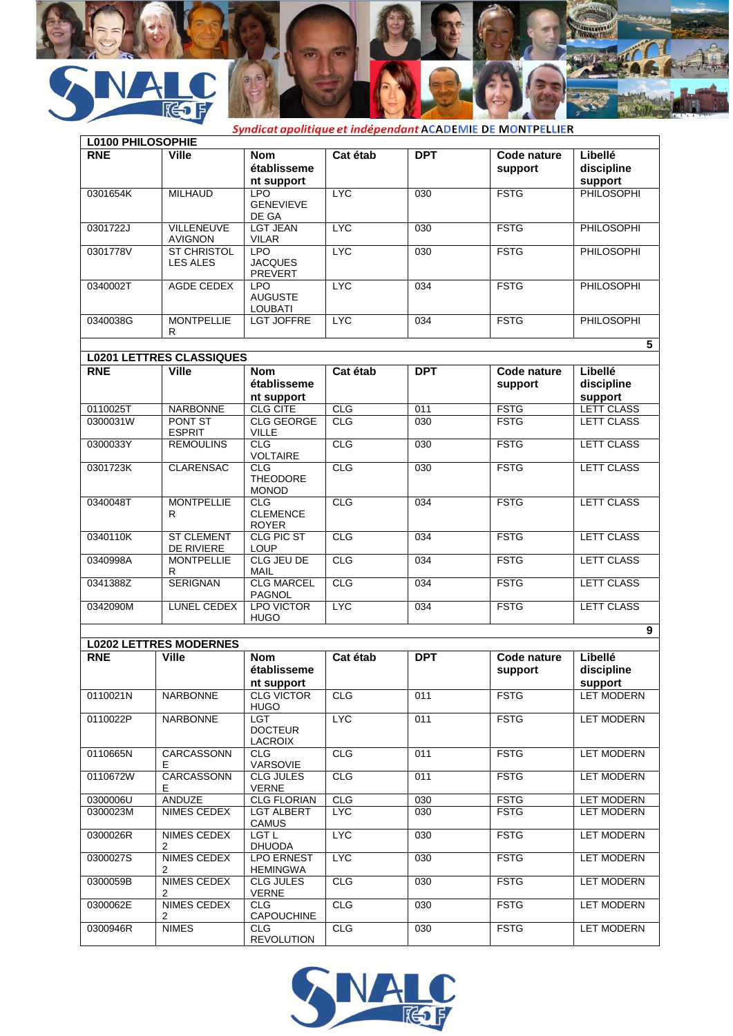



Syndicat apolitique et indépendant ACADEMIE DE MONTPELLIER

| <b>L0100 PHILOSOPHIE</b> |                                               |                                                |            |                  |                        |                                      |
|--------------------------|-----------------------------------------------|------------------------------------------------|------------|------------------|------------------------|--------------------------------------|
| <b>RNE</b>               | <b>Ville</b>                                  | <b>Nom</b><br>établisseme<br>nt support        | Cat étab   | <b>DPT</b>       | Code nature<br>support | Libellé<br>discipline<br>support     |
| 0301654K                 | <b>MILHAUD</b>                                | <b>LPO</b><br><b>GENEVIEVE</b><br>DE GA        | <b>LYC</b> | $\overline{030}$ | <b>FSTG</b>            | <b>PHILOSOPHI</b>                    |
| 0301722J                 | <b>VILLENEUVE</b><br>AVIGNON                  | <b>LGT JEAN</b><br><b>VILAR</b>                | <b>LYC</b> | 030              | <b>FSTG</b>            | <b>PHILOSOPHI</b>                    |
| 0301778V                 | <b>ST CHRISTOL</b><br><b>LES ALES</b>         | <b>LPO</b><br><b>JACQUES</b><br><b>PREVERT</b> | <b>LYC</b> | 030              | <b>FSTG</b>            | <b>PHILOSOPHI</b>                    |
| 0340002T                 | <b>AGDE CEDEX</b>                             | <b>LPO</b><br><b>AUGUSTE</b><br><b>LOUBATI</b> | <b>LYC</b> | $\overline{034}$ | <b>FSTG</b>            | <b>PHILOSOPHI</b>                    |
| 0340038G                 | <b>MONTPELLIE</b><br>R                        | <b>LGT JOFFRE</b>                              | <b>LYC</b> | 034              | <b>FSTG</b>            | <b>PHILOSOPHI</b><br>$5\phantom{.0}$ |
|                          | <b>L0201 LETTRES CLASSIQUES</b>               |                                                |            |                  |                        |                                      |
| <b>RNE</b>               | <b>Ville</b>                                  | <b>Nom</b><br>établisseme<br>nt support        | Cat étab   | <b>DPT</b>       | Code nature<br>support | Libellé<br>discipline<br>support     |
| 0110025T                 | <b>NARBONNE</b>                               | <b>CLG CITE</b>                                | CLG        | 011              | <b>FSTG</b>            | LETT CLASS                           |
| 0300031W                 | PONT ST<br><b>ESPRIT</b>                      | <b>CLG GEORGE</b><br><b>VILLE</b>              | CLG        | 030              | <b>FSTG</b>            | <b>LETT CLASS</b>                    |
| 0300033Y                 | <b>REMOULINS</b>                              | CLG<br><b>VOLTAIRE</b>                         | CLG        | 030              | <b>FSTG</b>            | <b>LETT CLASS</b>                    |
| 0301723K                 | <b>CLARENSAC</b>                              | CLG<br><b>THEODORE</b><br><b>MONOD</b>         | CLG        | 030              | <b>FSTG</b>            | <b>LETT CLASS</b>                    |
| 0340048T                 | <b>MONTPELLIE</b><br>R.                       | CLG<br><b>CLEMENCE</b><br><b>ROYER</b>         | CLG        | 034              | <b>FSTG</b>            | <b>LETT CLASS</b>                    |
| 0340110K                 | <b>ST CLEMENT</b><br>DE RIVIERE               | <b>CLG PIC ST</b><br><b>LOUP</b>               | CLG        | $\overline{034}$ | <b>FSTG</b>            | LETT CLASS                           |
| 0340998A                 | <b>MONTPELLIE</b><br>R                        | CLG JEU DE<br><b>MAIL</b>                      | CLG        | 034              | <b>FSTG</b>            | <b>LETT CLASS</b>                    |
| 0341388Z                 | <b>SERIGNAN</b>                               | <b>CLG MARCEL</b><br><b>PAGNOL</b>             | CLG        | 034              | <b>FSTG</b>            | <b>LETT CLASS</b>                    |
| 0342090M                 | LUNEL CEDEX                                   | <b>LPO VICTOR</b><br><b>HUGO</b>               | <b>LYC</b> | $\overline{034}$ | <b>FSTG</b>            | <b>LETT CLASS</b>                    |
|                          |                                               |                                                |            |                  |                        | 9                                    |
| <b>RNE</b>               | <b>L0202 LETTRES MODERNES</b><br><b>Ville</b> | <b>Nom</b>                                     | Cat étab   | <b>DPT</b>       | Code nature            | Libellé                              |
|                          |                                               | établisseme<br>nt support                      |            |                  | support                | discipline<br>support                |
| 0110021N                 | <b>NARBONNE</b>                               | <b>CLG VICTOR</b><br><b>HUGO</b>               | <b>CLG</b> | 011              | <b>FSTG</b>            | <b>LET MODERN</b>                    |
| 0110022P                 | <b>NARBONNE</b>                               | LGT.<br><b>DOCTEUR</b><br>LACROIX              | <b>LYC</b> | 011              | <b>FSTG</b>            | <b>LET MODERN</b>                    |
| 0110665N                 | CARCASSONN<br>E.                              | <b>CLG</b><br>VARSOVIE                         | <b>CLG</b> | 011              | <b>FSTG</b>            | <b>LET MODERN</b>                    |
| 0110672W                 | CARCASSONN<br>E.                              | <b>CLG JULES</b><br><b>VERNE</b>               | <b>CLG</b> | 011              | <b>FSTG</b>            | <b>LET MODERN</b>                    |
| 0300006U                 | <b>ANDUZE</b>                                 | <b>CLG FLORIAN</b>                             | <b>CLG</b> | 030              | <b>FSTG</b>            | <b>LET MODERN</b>                    |
| 0300023M                 | NIMES CEDEX                                   | <b>LGT ALBERT</b><br><b>CAMUS</b>              | <b>LYC</b> | 030              | <b>FSTG</b>            | <b>LET MODERN</b>                    |
| 0300026R                 | NIMES CEDEX<br>2                              | LGT L<br><b>DHUODA</b>                         | <b>LYC</b> | 030              | <b>FSTG</b>            | <b>LET MODERN</b>                    |
| 0300027S                 | NIMES CEDEX<br>2                              | <b>LPO ERNEST</b><br><b>HEMINGWA</b>           | <b>LYC</b> | 030              | <b>FSTG</b>            | <b>LET MODERN</b>                    |
| 0300059B                 | NIMES CEDEX<br>2                              | <b>CLG JULES</b><br><b>VERNE</b>               | <b>CLG</b> | 030              | <b>FSTG</b>            | <b>LET MODERN</b>                    |
| 0300062E                 | NIMES CEDEX<br>2                              | CLG<br><b>CAPOUCHINE</b>                       | <b>CLG</b> | 030              | <b>FSTG</b>            | <b>LET MODERN</b>                    |
| 0300946R                 | <b>NIMES</b>                                  | CLG<br><b>REVOLUTION</b>                       | <b>CLG</b> | 030              | <b>FSTG</b>            | <b>LET MODERN</b>                    |

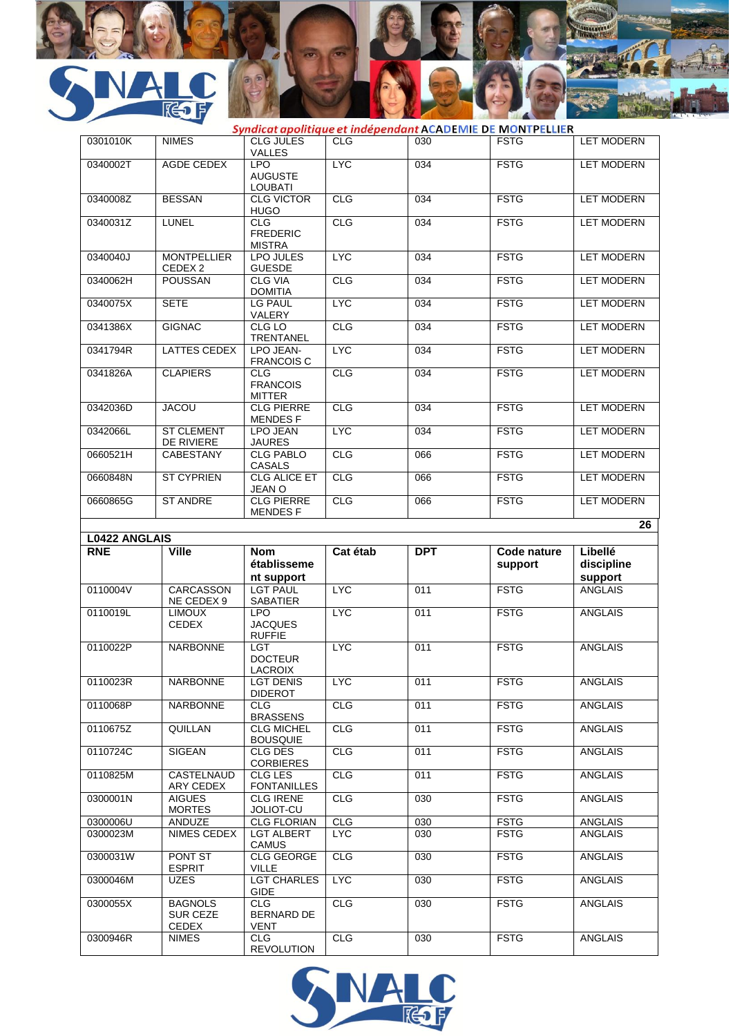

|                      |                                            |                                                         |                    | Syndicat apolitique et indépendant ACADEMIE DE MONTPELLIER |                            |                                  |
|----------------------|--------------------------------------------|---------------------------------------------------------|--------------------|------------------------------------------------------------|----------------------------|----------------------------------|
| 0301010K             | <b>NIMES</b>                               | <b>CLG JULES</b><br><b>VALLES</b>                       | CLG                | 030                                                        | <b>FSTG</b>                | <b>LET MODERN</b>                |
| 0340002T             | AGDE CEDEX                                 | <b>LPO</b><br><b>AUGUSTE</b><br><b>LOUBATI</b>          | <b>LYC</b>         | 034                                                        | <b>FSTG</b>                | <b>LET MODERN</b>                |
| 0340008Z             | <b>BESSAN</b>                              | <b>CLG VICTOR</b><br><b>HUGO</b>                        | <b>CLG</b>         | 034                                                        | <b>FSTG</b>                | <b>LET MODERN</b>                |
| 0340031Z             | <b>LUNEL</b>                               | CLG<br><b>FREDERIC</b><br><b>MISTRA</b>                 | CLG                | 034                                                        | <b>FSTG</b>                | <b>LET MODERN</b>                |
| 0340040J             | <b>MONTPELLIER</b><br>CEDEX 2              | LPO JULES<br><b>GUESDE</b>                              | <b>LYC</b>         | 034                                                        | <b>FSTG</b>                | <b>LET MODERN</b>                |
| 0340062H             | <b>POUSSAN</b>                             | <b>CLG VIA</b><br><b>DOMITIA</b>                        | <b>CLG</b>         | 034                                                        | <b>FSTG</b>                | <b>LET MODERN</b>                |
| 0340075X             | <b>SETE</b>                                | <b>LG PAUL</b><br>VALERY                                | <b>LYC</b>         | 034                                                        | <b>FSTG</b>                | <b>LET MODERN</b>                |
| 0341386X             | <b>GIGNAC</b>                              | CLG LO<br>TRENTANEL                                     | CLG                | $\overline{034}$                                           | <b>FSTG</b>                | <b>LET MODERN</b>                |
| 0341794R             | <b>LATTES CEDEX</b>                        | LPO JEAN-<br><b>FRANCOIS C</b>                          | <b>LYC</b>         | 034                                                        | <b>FSTG</b>                | <b>LET MODERN</b>                |
| 0341826A             | <b>CLAPIERS</b>                            | <b>CLG</b><br><b>FRANCOIS</b><br><b>MITTER</b>          | CLG                | 034                                                        | <b>FSTG</b>                | <b>LET MODERN</b>                |
| 0342036D             | <b>JACOU</b>                               | <b>CLG PIERRE</b><br><b>MENDESF</b>                     | CLG                | $\overline{034}$                                           | <b>FSTG</b>                | <b>LET MODERN</b>                |
| 0342066L             | <b>ST CLEMENT</b><br>DE RIVIERE            | <b>LPO JEAN</b><br><b>JAURES</b>                        | <b>LYC</b>         | 034                                                        | <b>FSTG</b>                | <b>LET MODERN</b>                |
| 0660521H             | <b>CABESTANY</b>                           | <b>CLG PABLO</b><br>CASALS                              | CLG                | 066                                                        | <b>FSTG</b>                | <b>LET MODERN</b>                |
| 0660848N             | <b>ST CYPRIEN</b>                          | <b>CLG ALICE ET</b><br>JEAN O                           | CLG                | 066                                                        | <b>FSTG</b>                | <b>LET MODERN</b>                |
| 0660865G             | <b>ST ANDRE</b>                            | <b>CLG PIERRE</b><br><b>MENDESF</b>                     | <b>CLG</b>         | 066                                                        | <b>FSTG</b>                | <b>LET MODERN</b>                |
|                      |                                            |                                                         |                    |                                                            |                            | 26                               |
| <b>L0422 ANGLAIS</b> |                                            |                                                         |                    |                                                            |                            |                                  |
|                      |                                            |                                                         |                    |                                                            |                            |                                  |
| <b>RNE</b>           | <b>Ville</b>                               | <b>Nom</b><br>établisseme                               | Cat étab           | <b>DPT</b>                                                 | Code nature<br>support     | Libellé<br>discipline            |
| 0110004V             | <b>CARCASSON</b>                           | nt support<br><b>LGT PAUL</b>                           | <b>LYC</b>         | 011                                                        | <b>FSTG</b>                | support<br><b>ANGLAIS</b>        |
| 0110019L             | NE CEDEX 9<br><b>LIMOUX</b><br>CEDEX       | <b>SABATIER</b><br><b>LPO</b><br><b>JACQUES</b>         | <b>LYC</b>         | 011                                                        | <b>FSTG</b>                | <b>ANGLAIS</b>                   |
| 0110022P             | <b>NARBONNE</b>                            | <b>RUFFIE</b><br><b>LGT</b><br><b>DOCTEUR</b>           | <b>LYC</b>         | 011                                                        | <b>FSTG</b>                | <b>ANGLAIS</b>                   |
| 0110023R             | <b>NARBONNE</b>                            | <b>LACROIX</b><br><b>LGT DENIS</b>                      | <b>LYC</b>         | 011                                                        | <b>FSTG</b>                | ANGLAIS                          |
| 0110068P             | <b>NARBONNE</b>                            | <b>DIDEROT</b><br><b>CLG</b><br><b>BRASSENS</b>         | CLG                | 011                                                        | <b>FSTG</b>                | ANGLAIS                          |
| 0110675Z             | QUILLAN                                    | <b>CLG MICHEL</b><br><b>BOUSQUIE</b>                    | <b>CLG</b>         | 011                                                        | <b>FSTG</b>                | <b>ANGLAIS</b>                   |
| 0110724C             | SIGEAN                                     | CLG DES<br><b>CORBIERES</b>                             | <b>CLG</b>         | 011                                                        | <b>FSTG</b>                | ANGLAIS                          |
| 0110825M             | CASTELNAUD                                 | CLG LES                                                 | <b>CLG</b>         | 011                                                        | <b>FSTG</b>                | <b>ANGLAIS</b>                   |
| 0300001N             | ARY CEDEX<br><b>AIGUES</b>                 | <b>FONTANILLES</b><br><b>CLG IRENE</b><br>JOLIOT-CU     | <b>CLG</b>         | 030                                                        | <b>FSTG</b>                | <b>ANGLAIS</b>                   |
| 0300006U             | <b>MORTES</b>                              |                                                         |                    |                                                            |                            |                                  |
| 0300023M             | ANDUZE<br>NIMES CEDEX                      | <b>CLG FLORIAN</b><br><b>LGT ALBERT</b><br><b>CAMUS</b> | <b>CLG</b><br>LYC. | 030<br>030                                                 | <b>FSTG</b><br><b>FSTG</b> | <b>ANGLAIS</b><br><b>ANGLAIS</b> |
| 0300031W             | PONT ST<br><b>ESPRIT</b>                   | <b>CLG GEORGE</b><br>VILLE                              | <b>CLG</b>         | 030                                                        | <b>FSTG</b>                | <b>ANGLAIS</b>                   |
| 0300046M             | <b>UZES</b>                                | <b>LGT CHARLES</b><br><b>GIDE</b>                       | <b>LYC</b>         | 030                                                        | <b>FSTG</b>                | <b>ANGLAIS</b>                   |
| 0300055X             | <b>BAGNOLS</b><br>SUR CEZE<br><b>CEDEX</b> | <b>CLG</b><br><b>BERNARD DE</b><br><b>VENT</b>          | <b>CLG</b><br>CLG  | 030                                                        | <b>FSTG</b>                | <b>ANGLAIS</b>                   |

R

 $\mathbf{I}$ 

**Communication** 

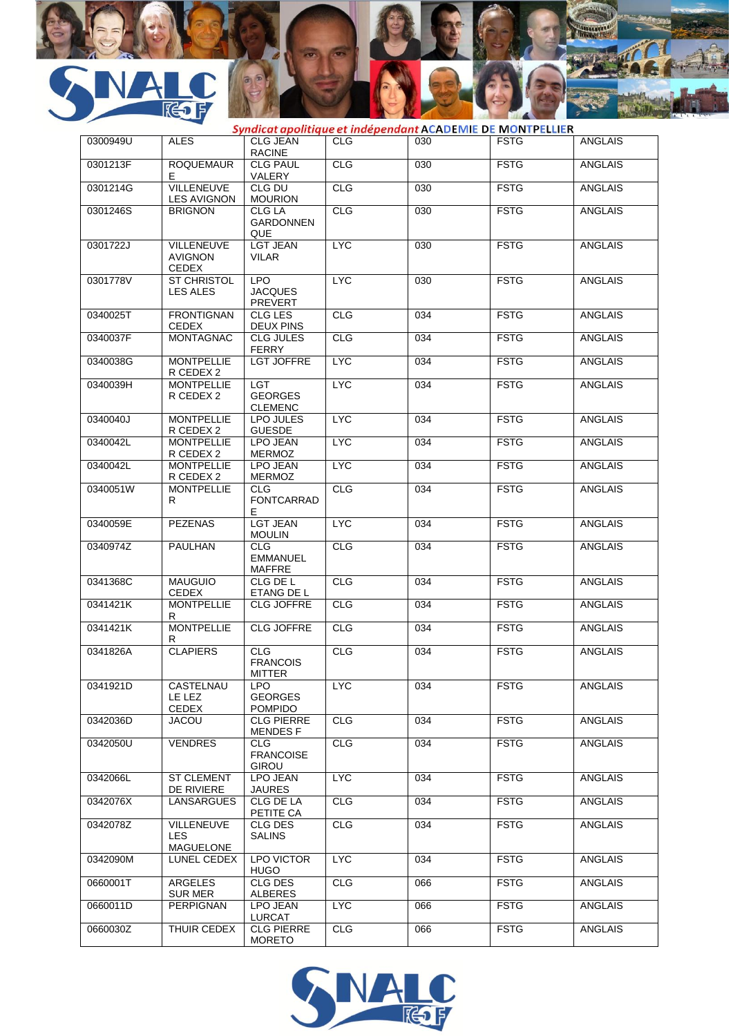



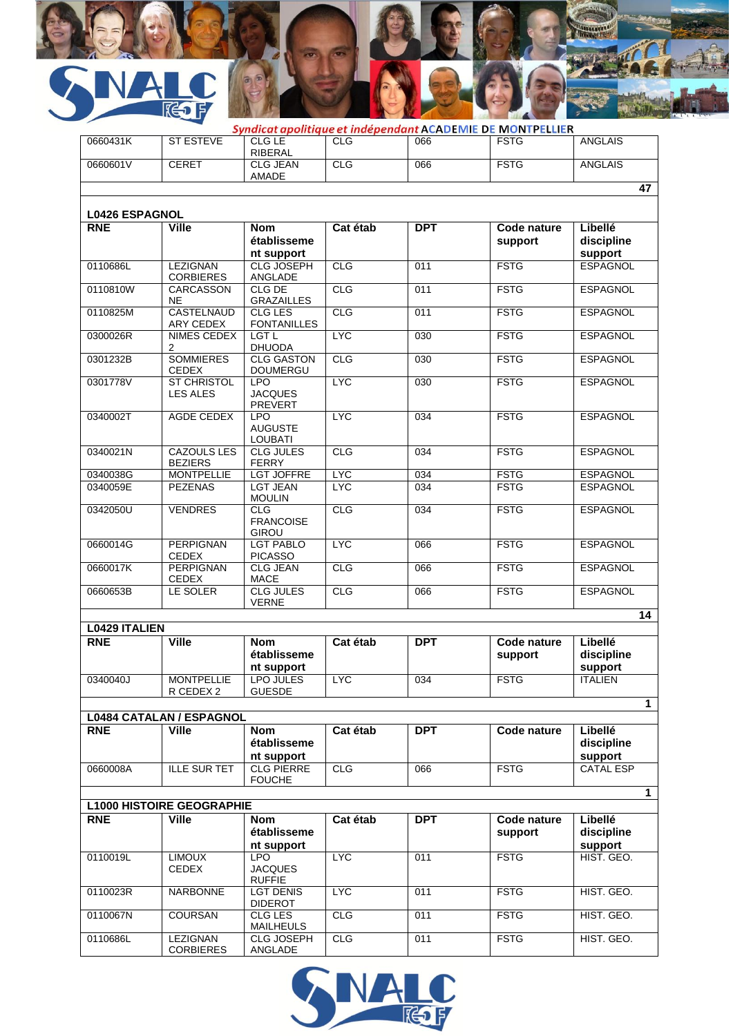

|                       |                                                  |                                                |            |            | Syndicat apolitique et indépendant ACADEMIE DE MONTPELLIER |                                  |
|-----------------------|--------------------------------------------------|------------------------------------------------|------------|------------|------------------------------------------------------------|----------------------------------|
| 0660431K              | <b>ST ESTEVE</b>                                 | <b>CLG LE</b><br>RIBERAL                       | <b>CLG</b> | 066        | <b>FSTG</b>                                                | <b>ANGLAIS</b>                   |
| 0660601V              | <b>CERET</b>                                     | <b>CLG JEAN</b><br>AMADE                       | CLG        | 066        | <b>FSTG</b>                                                | <b>ANGLAIS</b>                   |
|                       |                                                  |                                                |            |            |                                                            | 47                               |
| <b>L0426 ESPAGNOL</b> |                                                  |                                                |            |            |                                                            |                                  |
| <b>RNE</b>            | <b>Ville</b>                                     | <b>Nom</b><br>établisseme<br>nt support        | Cat étab   | <b>DPT</b> | Code nature<br>support                                     | Libellé<br>discipline<br>support |
| 0110686L              | <b>LEZIGNAN</b><br><b>CORBIERES</b>              | <b>CLG JOSEPH</b><br>ANGLADE                   | CLG        | 011        | <b>FSTG</b>                                                | <b>ESPAGNOL</b>                  |
| 0110810W              | <b>CARCASSON</b><br><b>NE</b>                    | CLG DE<br><b>GRAZAILLES</b>                    | CLG        | 011        | <b>FSTG</b>                                                | <b>ESPAGNOL</b>                  |
| 0110825M              | <b>CASTELNAUD</b><br><b>ARY CEDEX</b>            | <b>CLG LES</b><br><b>FONTANILLES</b>           | CLG        | 011        | <b>FSTG</b>                                                | <b>ESPAGNOL</b>                  |
| 0300026R              | <b>NIMES CEDEX</b><br>2                          | LGT <sub>L</sub><br><b>DHUODA</b>              | <b>LYC</b> | 030        | <b>FSTG</b>                                                | <b>ESPAGNOL</b>                  |
| 0301232B              | <b>SOMMIERES</b><br><b>CEDEX</b>                 | <b>CLG GASTON</b><br><b>DOUMERGU</b>           | CLG        | 030        | <b>FSTG</b>                                                | <b>ESPAGNOL</b>                  |
| 0301778V              | <b>ST CHRISTOL</b><br><b>LES ALES</b>            | <b>LPO</b><br><b>JACQUES</b><br><b>PREVERT</b> | <b>LYC</b> | 030        | <b>FSTG</b>                                                | <b>ESPAGNOL</b>                  |
| 0340002T              | <b>AGDE CEDEX</b>                                | <b>LPO</b><br><b>AUGUSTE</b><br><b>LOUBATI</b> | <b>LYC</b> | 034        | <b>FSTG</b>                                                | <b>ESPAGNOL</b>                  |
| 0340021N              | <b>CAZOULS LES</b><br><b>BEZIERS</b>             | <b>CLG JULES</b><br><b>FERRY</b>               | CLG        | 034        | <b>FSTG</b>                                                | <b>ESPAGNOL</b>                  |
| 0340038G              | <b>MONTPELLIE</b>                                | <b>LGT JOFFRE</b>                              | <b>LYC</b> | 034        | <b>FSTG</b>                                                | <b>ESPAGNOL</b>                  |
| 0340059E              | <b>PEZENAS</b>                                   | <b>LGT JEAN</b><br><b>MOULIN</b>               | <b>LYC</b> | 034        | <b>FSTG</b>                                                | <b>ESPAGNOL</b>                  |
| 0342050U              | <b>VENDRES</b>                                   | <b>CLG</b><br><b>FRANCOISE</b><br><b>GIROU</b> | <b>CLG</b> | 034        | <b>FSTG</b>                                                | <b>ESPAGNOL</b>                  |
| 0660014G              | <b>PERPIGNAN</b><br><b>CEDEX</b>                 | <b>LGT PABLO</b><br><b>PICASSO</b>             | <b>LYC</b> | 066        | <b>FSTG</b>                                                | <b>ESPAGNOL</b>                  |
| 0660017K              | <b>PERPIGNAN</b><br>CEDEX                        | <b>CLG JEAN</b><br><b>MACE</b>                 | CLG        | 066        | <b>FSTG</b>                                                | <b>ESPAGNOL</b>                  |
| 0660653B              | LE SOLER                                         | <b>CLG JULES</b><br><b>VERNE</b>               | CLG        | 066        | <b>FSTG</b>                                                | <b>ESPAGNOL</b>                  |
| <b>L0429 ITALIEN</b>  |                                                  |                                                |            |            |                                                            | $\overline{14}$                  |
| <b>RNE</b>            | <b>Ville</b>                                     | <b>Nom</b><br>établisseme<br>nt support        | Cat étab   | <b>DPT</b> | Code nature<br>support                                     | Libellé<br>discipline<br>support |
| 0340040J              | <b>MONTPELLIE</b>                                | LPO JULES                                      | <b>LYC</b> | 034        | <b>FSTG</b>                                                | <b>ITALIEN</b>                   |
|                       | R CEDEX 2                                        | <b>GUESDE</b>                                  |            |            |                                                            | 1                                |
|                       | <b>L0484 CATALAN / ESPAGNOL</b>                  |                                                |            |            |                                                            |                                  |
| <b>RNE</b>            | <b>Ville</b>                                     | <b>Nom</b><br>établisseme<br>nt support        | Cat étab   | <b>DPT</b> | Code nature                                                | Libellé<br>discipline<br>support |
| 0660008A              | <b>ILLE SUR TET</b>                              | <b>CLG PIERRE</b><br><b>FOUCHE</b>             | CLG        | 066        | <b>FSTG</b>                                                | <b>CATAL ESP</b>                 |
|                       |                                                  |                                                |            |            |                                                            | $\mathbf{1}$                     |
| <b>RNE</b>            | <b>L1000 HISTOIRE GEOGRAPHIE</b><br><b>Ville</b> | <b>Nom</b><br>établisseme                      | Cat étab   | <b>DPT</b> | Code nature<br>support                                     | Libellé<br>discipline            |
|                       |                                                  | nt support                                     |            |            |                                                            | support                          |
| 0110019L              | <b>LIMOUX</b><br><b>CEDEX</b>                    | <b>LPO</b><br><b>JACQUES</b><br><b>RUFFIE</b>  | <b>LYC</b> | 011        | <b>FSTG</b>                                                | HIST. GEO.                       |
| 0110023R              | <b>NARBONNE</b>                                  | <b>LGT DENIS</b><br><b>DIDEROT</b>             | <b>LYC</b> | 011        | <b>FSTG</b>                                                | HIST. GEO.                       |
| 0110067N              | <b>COURSAN</b>                                   | CLG LES<br><b>MAILHEULS</b>                    | CLG        | 011        | <b>FSTG</b>                                                | HIST. GEO.                       |
| 0110686L              | LEZIGNAN<br><b>CORBIERES</b>                     | CLG JOSEPH<br>ANGLADE                          | <b>CLG</b> | 011        | <b>FSTG</b>                                                | HIST. GEO.                       |



CORBIERES

ANGLADE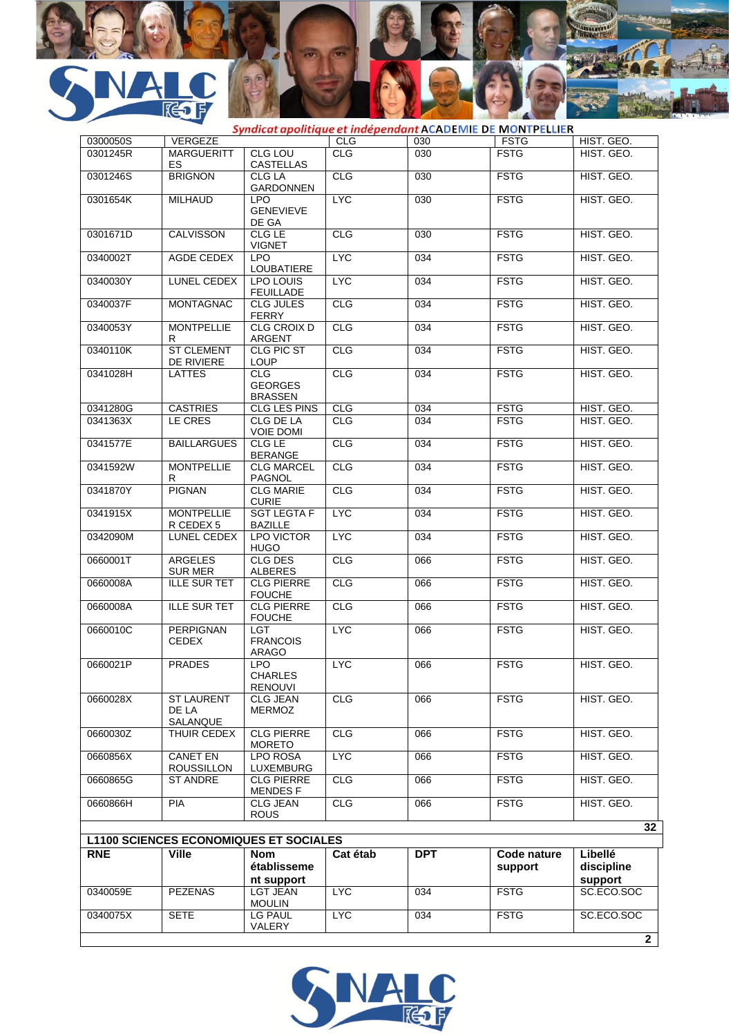

| 0300050S<br>0301245R<br>0301246S<br>0301654K<br>0301671D<br>0340002T<br>0340030Y<br>0340037F<br>0340053Y<br>0340110K<br>0341028H | <b>VERGEZE</b><br><b>MARGUERITT</b><br>ES<br><b>BRIGNON</b><br><b>MILHAUD</b><br><b>CALVISSON</b><br>AGDE CEDEX<br>LUNEL CEDEX<br><b>MONTAGNAC</b> | <b>CLG LOU</b><br><b>CASTELLAS</b><br>CLG LA<br><b>GARDONNEN</b><br>LPO.<br><b>GENEVIEVE</b><br>DE GA<br>CLG LE<br><b>VIGNET</b><br><b>LPO</b><br>LOUBATIERE<br>LPO LOUIS | <b>CLG</b><br><b>CLG</b><br><b>CLG</b><br><b>LYC</b><br>CLG<br><b>LYC</b> | 030<br>030<br>030<br>030<br>030 | <b>FSTG</b><br><b>FSTG</b><br><b>FSTG</b><br><b>FSTG</b><br><b>FSTG</b> | HIST. GEO.<br>HIST. GEO.<br>HIST. GEO.<br>HIST. GEO. |
|----------------------------------------------------------------------------------------------------------------------------------|----------------------------------------------------------------------------------------------------------------------------------------------------|---------------------------------------------------------------------------------------------------------------------------------------------------------------------------|---------------------------------------------------------------------------|---------------------------------|-------------------------------------------------------------------------|------------------------------------------------------|
|                                                                                                                                  |                                                                                                                                                    |                                                                                                                                                                           |                                                                           |                                 |                                                                         |                                                      |
|                                                                                                                                  |                                                                                                                                                    |                                                                                                                                                                           |                                                                           |                                 |                                                                         |                                                      |
|                                                                                                                                  |                                                                                                                                                    |                                                                                                                                                                           |                                                                           |                                 |                                                                         |                                                      |
|                                                                                                                                  |                                                                                                                                                    |                                                                                                                                                                           |                                                                           |                                 |                                                                         |                                                      |
|                                                                                                                                  |                                                                                                                                                    |                                                                                                                                                                           |                                                                           |                                 |                                                                         | HIST. GEO.                                           |
|                                                                                                                                  |                                                                                                                                                    |                                                                                                                                                                           |                                                                           | 034                             | <b>FSTG</b>                                                             | HIST. GEO.                                           |
|                                                                                                                                  |                                                                                                                                                    | <b>FEUILLADE</b>                                                                                                                                                          | <b>LYC</b>                                                                | 034                             | <b>FSTG</b>                                                             | HIST. GEO.                                           |
|                                                                                                                                  |                                                                                                                                                    | <b>CLG JULES</b><br><b>FERRY</b>                                                                                                                                          | <b>CLG</b>                                                                | 034                             | <b>FSTG</b>                                                             | HIST. GEO.                                           |
|                                                                                                                                  | <b>MONTPELLIE</b><br>R                                                                                                                             | CLG CROIX D<br><b>ARGENT</b>                                                                                                                                              | <b>CLG</b>                                                                | 034                             | <b>FSTG</b>                                                             | HIST. GEO.                                           |
|                                                                                                                                  | <b>ST CLEMENT</b><br>DE RIVIERE                                                                                                                    | <b>CLG PIC ST</b><br><b>LOUP</b>                                                                                                                                          | <b>CLG</b>                                                                | 034                             | <b>FSTG</b>                                                             | HIST. GEO.                                           |
|                                                                                                                                  | <b>LATTES</b>                                                                                                                                      | CLG<br><b>GEORGES</b><br><b>BRASSEN</b>                                                                                                                                   | CLG                                                                       | 034                             | <b>FSTG</b>                                                             | HIST. GEO.                                           |
| 0341280G                                                                                                                         | <b>CASTRIES</b>                                                                                                                                    | CLG LES PINS                                                                                                                                                              | <b>CLG</b>                                                                | 034                             | <b>FSTG</b>                                                             | HIST. GEO.                                           |
| 0341363X                                                                                                                         | LE CRES                                                                                                                                            | CLG DE LA<br><b>VOIE DOMI</b>                                                                                                                                             | <b>CLG</b>                                                                | 034                             | <b>FSTG</b>                                                             | HIST. GEO.                                           |
| 0341577E                                                                                                                         | <b>BAILLARGUES</b>                                                                                                                                 | CLG LE<br><b>BERANGE</b>                                                                                                                                                  | <b>CLG</b>                                                                | 034                             | <b>FSTG</b>                                                             | HIST. GEO.                                           |
| 0341592W                                                                                                                         | <b>MONTPELLIE</b><br>R                                                                                                                             | <b>CLG MARCEL</b><br><b>PAGNOL</b>                                                                                                                                        | <b>CLG</b>                                                                | 034                             | <b>FSTG</b>                                                             | HIST. GEO.                                           |
| 0341870Y                                                                                                                         | <b>PIGNAN</b>                                                                                                                                      | <b>CLG MARIE</b><br><b>CURIE</b>                                                                                                                                          | <b>CLG</b>                                                                | 034                             | <b>FSTG</b>                                                             | HIST. GEO.                                           |
| 0341915X                                                                                                                         | <b>MONTPELLIE</b><br>R CEDEX 5                                                                                                                     | <b>SGT LEGTA F</b><br><b>BAZILLE</b>                                                                                                                                      | <b>LYC</b>                                                                | 034                             | <b>FSTG</b>                                                             | HIST. GEO.                                           |
| 0342090M                                                                                                                         | LUNEL CEDEX                                                                                                                                        | <b>LPO VICTOR</b><br><b>HUGO</b>                                                                                                                                          | <b>LYC</b>                                                                | 034                             | <b>FSTG</b>                                                             | HIST. GEO.                                           |
| 0660001T                                                                                                                         | <b>ARGELES</b><br><b>SUR MER</b>                                                                                                                   | <b>CLG DES</b><br><b>ALBERES</b>                                                                                                                                          | CLG                                                                       | 066                             | <b>FSTG</b>                                                             | HIST. GEO.                                           |
| 0660008A                                                                                                                         | <b>ILLE SUR TET</b>                                                                                                                                | <b>CLG PIERRE</b><br><b>FOUCHE</b>                                                                                                                                        | <b>CLG</b>                                                                | 066                             | <b>FSTG</b>                                                             | HIST. GEO.                                           |
| 0660008A                                                                                                                         | <b>ILLE SUR TET</b>                                                                                                                                | <b>CLG PIERRE</b><br><b>FOUCHE</b>                                                                                                                                        | <b>CLG</b>                                                                | 066                             | <b>FSTG</b>                                                             | HIST. GEO.                                           |
| 0660010C                                                                                                                         | <b>PERPIGNAN</b><br><b>CEDEX</b>                                                                                                                   | LGT<br><b>FRANCOIS</b><br><b>ARAGO</b>                                                                                                                                    | <b>LYC</b>                                                                | 066                             | <b>FSTG</b>                                                             | HIST. GEO.                                           |
| 0660021P                                                                                                                         | <b>PRADES</b>                                                                                                                                      | LPO.<br><b>CHARLES</b><br><b>RENOUVI</b>                                                                                                                                  | <b>LYC</b>                                                                | 066                             | <b>FSTG</b>                                                             | HIST. GEO.                                           |
| 0660028X                                                                                                                         | <b>ST LAURENT</b><br>DE LA<br>SALANQUE                                                                                                             | <b>CLG JEAN</b><br><b>MERMOZ</b>                                                                                                                                          | CLG                                                                       | 066                             | <b>FSTG</b>                                                             | HIST. GEO.                                           |
| 0660030Z                                                                                                                         | <b>THUIR CEDEX</b>                                                                                                                                 | <b>CLG PIERRE</b><br><b>MORETO</b>                                                                                                                                        | CLG                                                                       | 066                             | <b>FSTG</b>                                                             | HIST. GEO.                                           |
| 0660856X                                                                                                                         | <b>CANET EN</b><br><b>ROUSSILLON</b>                                                                                                               | <b>LPO ROSA</b><br>LUXEMBURG                                                                                                                                              | <b>LYC</b>                                                                | 066                             | <b>FSTG</b>                                                             | HIST. GEO.                                           |
| 0660865G                                                                                                                         | <b>ST ANDRE</b>                                                                                                                                    | <b>CLG PIERRE</b><br><b>MENDESF</b>                                                                                                                                       | CLG                                                                       | 066                             | <b>FSTG</b>                                                             | HIST. GEO.                                           |
| 0660866H                                                                                                                         | <b>PIA</b>                                                                                                                                         | <b>CLG JEAN</b><br><b>ROUS</b>                                                                                                                                            | CLG                                                                       | 066                             | <b>FSTG</b>                                                             | HIST. GEO.                                           |
| <b>L1100 SCIENCES ECONOMIQUES ET SOCIALES</b>                                                                                    |                                                                                                                                                    |                                                                                                                                                                           |                                                                           |                                 |                                                                         | 32                                                   |
| <b>RNE</b>                                                                                                                       | <b>Ville</b>                                                                                                                                       | <b>Nom</b>                                                                                                                                                                | Cat étab                                                                  | <b>DPT</b>                      | Code nature                                                             | Libellé                                              |
|                                                                                                                                  |                                                                                                                                                    | établisseme<br>nt support                                                                                                                                                 |                                                                           |                                 | support                                                                 | discipline<br>support                                |
| 0340059E                                                                                                                         | <b>PEZENAS</b>                                                                                                                                     | <b>LGT JEAN</b><br><b>MOULIN</b>                                                                                                                                          | <b>LYC</b>                                                                | 034                             | <b>FSTG</b>                                                             | SC.ECO.SOC                                           |
| 0340075X                                                                                                                         | <b>SETE</b>                                                                                                                                        | LG PAUL<br>VALERY                                                                                                                                                         | <b>LYC</b>                                                                | 034                             | <b>FSTG</b>                                                             | SC.ECO.SOC                                           |

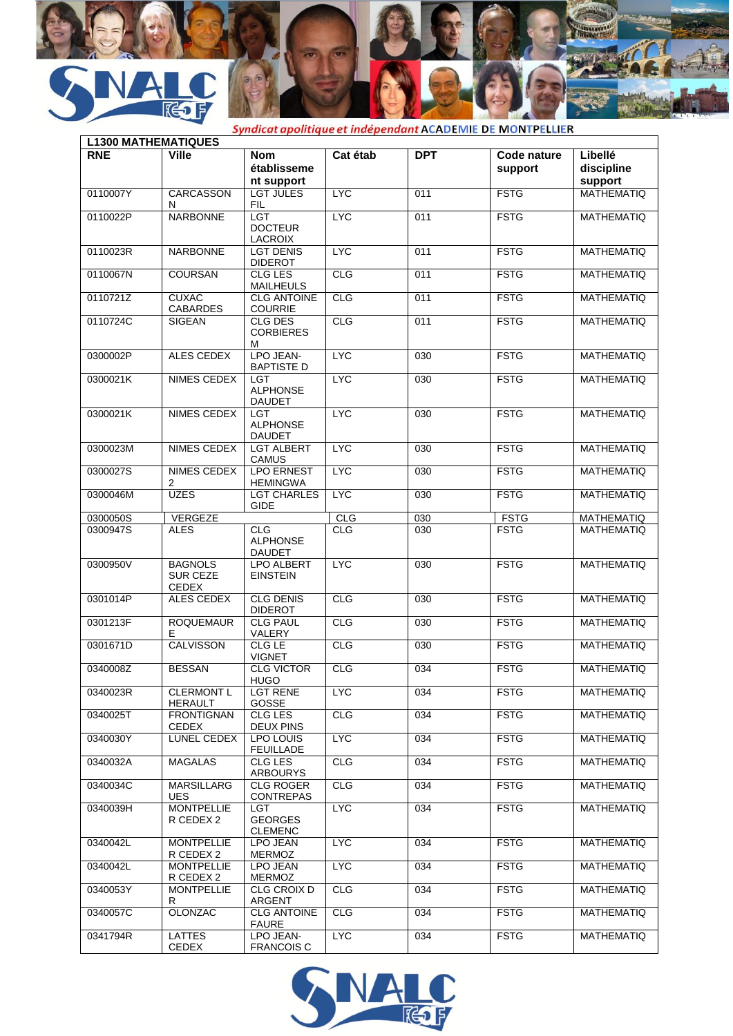



| <b>L1300 MATHEMATIQUES</b> |                                                   |                                                |            |                  |                        |                                  |
|----------------------------|---------------------------------------------------|------------------------------------------------|------------|------------------|------------------------|----------------------------------|
| <b>RNE</b>                 | Ville                                             | <b>Nom</b><br>établisseme<br>nt support        | Cat étab   | <b>DPT</b>       | Code nature<br>support | Libellé<br>discipline<br>support |
| 0110007Y                   | <b>CARCASSON</b><br>N                             | <b>LGT JULES</b><br><b>FIL</b>                 | <b>LYC</b> | 011              | <b>FSTG</b>            | <b>MATHEMATIQ</b>                |
| 0110022P                   | <b>NARBONNE</b>                                   | LGT<br><b>DOCTEUR</b><br><b>LACROIX</b>        | <b>LYC</b> | 011              | <b>FSTG</b>            | <b>MATHEMATIQ</b>                |
| 0110023R                   | <b>NARBONNE</b>                                   | <b>LGT DENIS</b><br><b>DIDEROT</b>             | <b>LYC</b> | 011              | <b>FSTG</b>            | <b>MATHEMATIQ</b>                |
| 0110067N                   | <b>COURSAN</b>                                    | <b>CLG LES</b><br><b>MAILHEULS</b>             | CLG        | 011              | <b>FSTG</b>            | <b>MATHEMATIQ</b>                |
| 0110721Z                   | <b>CUXAC</b><br><b>CABARDES</b>                   | <b>CLG ANTOINE</b><br><b>COURRIE</b>           | CLG        | 011              | <b>FSTG</b>            | <b>MATHEMATIQ</b>                |
| 0110724C                   | <b>SIGEAN</b>                                     | <b>CLG DES</b><br><b>CORBIERES</b><br>м        | CLG        | 011              | <b>FSTG</b>            | <b>MATHEMATIQ</b>                |
| 0300002P                   | <b>ALES CEDEX</b>                                 | LPO JEAN-<br><b>BAPTISTE D</b>                 | <b>LYC</b> | $\overline{030}$ | <b>FSTG</b>            | <b>MATHEMATIQ</b>                |
| 0300021K                   | NIMES CEDEX                                       | <b>LGT</b><br><b>ALPHONSE</b><br><b>DAUDET</b> | <b>LYC</b> | 030              | <b>FSTG</b>            | <b>MATHEMATIQ</b>                |
| 0300021K                   | <b>NIMES CEDEX</b>                                | <b>LGT</b><br><b>ALPHONSE</b><br><b>DAUDET</b> | <b>LYC</b> | $\overline{030}$ | <b>FSTG</b>            | <b>MATHEMATIQ</b>                |
| 0300023M                   | NIMES CEDEX                                       | <b>LGT ALBERT</b><br><b>CAMUS</b>              | <b>LYC</b> | $\overline{030}$ | <b>FSTG</b>            | <b>MATHEMATIQ</b>                |
| 0300027S                   | NIMES CEDEX<br>2                                  | <b>LPO ERNEST</b><br><b>HEMINGWA</b>           | <b>LYC</b> | 030              | <b>FSTG</b>            | MATHEMATIQ                       |
| 0300046M                   | <b>UZES</b>                                       | <b>LGT CHARLES</b><br><b>GIDE</b>              | <b>LYC</b> | 030              | <b>FSTG</b>            | <b>MATHEMATIQ</b>                |
| 0300050S                   | VERGEZE                                           |                                                | <b>CLG</b> | 030              | <b>FSTG</b>            | <b>MATHEMATIQ</b>                |
| 0300947S                   | <b>ALES</b>                                       | <b>CLG</b><br><b>ALPHONSE</b><br><b>DAUDET</b> | <b>CLG</b> | 030              | <b>FSTG</b>            | <b>MATHEMATIQ</b>                |
| 0300950V                   | <b>BAGNOLS</b><br><b>SUR CEZE</b><br><b>CEDEX</b> | <b>LPO ALBERT</b><br><b>EINSTEIN</b>           | <b>LYC</b> | 030              | <b>FSTG</b>            | <b>MATHEMATIQ</b>                |
| 0301014P                   | ALES CEDEX                                        | <b>CLG DENIS</b><br><b>DIDEROT</b>             | <b>CLG</b> | 030              | <b>FSTG</b>            | <b>MATHEMATIQ</b>                |
| 0301213F                   | <b>ROQUEMAUR</b><br>Е                             | <b>CLG PAUL</b><br>VALERY                      | CLG        | 030              | <b>FSTG</b>            | <b>MATHEMATIQ</b>                |
| 0301671D                   | <b>CALVISSON</b>                                  | <b>CLG LE</b><br><b>VIGNET</b>                 | <b>CLG</b> | 030              | <b>FSTG</b>            | <b>MATHEMATIQ</b>                |
| 0340008Z                   | <b>BESSAN</b>                                     | <b>CLG VICTOR</b><br><b>HUGO</b>               | <b>CLG</b> | 034              | <b>FSTG</b>            | <b>MATHEMATIQ</b>                |
| 0340023R                   | <b>CLERMONT L</b><br><b>HERAULT</b>               | <b>LGT RENE</b><br>GOSSE                       | <b>LYC</b> | 034              | <b>FSTG</b>            | <b>MATHEMATIQ</b>                |
| 0340025T                   | <b>FRONTIGNAN</b><br>CEDEX                        | CLG LES<br><b>DEUX PINS</b>                    | <b>CLG</b> | 034              | <b>FSTG</b>            | <b>MATHEMATIQ</b>                |
| 0340030Y                   | LUNEL CEDEX                                       | LPO LOUIS<br><b>FEUILLADE</b>                  | <b>LYC</b> | 034              | <b>FSTG</b>            | MATHEMATIQ                       |
| 0340032A                   | <b>MAGALAS</b>                                    | CLG LES<br><b>ARBOURYS</b>                     | <b>CLG</b> | 034              | <b>FSTG</b>            | <b>MATHEMATIQ</b>                |
| 0340034C                   | <b>MARSILLARG</b><br><b>UES</b>                   | <b>CLG ROGER</b><br><b>CONTREPAS</b>           | <b>CLG</b> | 034              | <b>FSTG</b>            | <b>MATHEMATIQ</b>                |
| 0340039H                   | <b>MONTPELLIE</b><br>R CEDEX 2                    | <b>LGT</b><br><b>GEORGES</b><br><b>CLEMENC</b> | <b>LYC</b> | 034              | <b>FSTG</b>            | MATHEMATIQ                       |
| 0340042L                   | <b>MONTPELLIE</b><br>R CEDEX 2                    | LPO JEAN<br>MERMOZ                             | <b>LYC</b> | 034              | <b>FSTG</b>            | MATHEMATIO                       |
| 0340042L                   | <b>MONTPELLIE</b><br>R CEDEX 2                    | LPO JEAN<br>MERMOZ                             | <b>LYC</b> | 034              | <b>FSTG</b>            | <b>MATHEMATIQ</b>                |
| 0340053Y                   | <b>MONTPELLIE</b><br>R                            | CLG CROIX D<br>ARGENT                          | <b>CLG</b> | 034              | <b>FSTG</b>            | <b>MATHEMATIQ</b>                |
| 0340057C                   | <b>OLONZAC</b>                                    | <b>CLG ANTOINE</b><br><b>FAURE</b>             | <b>CLG</b> | 034              | <b>FSTG</b>            | MATHEMATIQ                       |
| 0341794R                   | <b>LATTES</b><br>CEDEX                            | LPO JEAN-<br><b>FRANCOIS C</b>                 | <b>LYC</b> | 034              | <b>FSTG</b>            | <b>MATHEMATIQ</b>                |

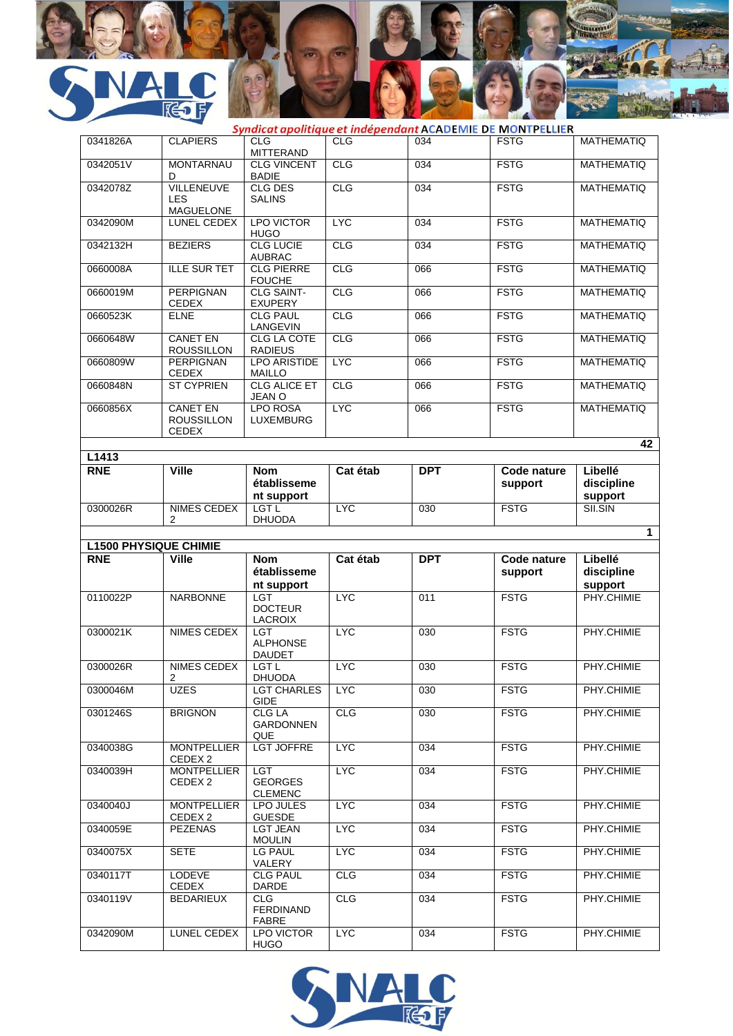

|                     | - 7                                                  |                                             |            |            | Syndicat apolitique et indépendant ACADEMIE DE MONTPELLIER |                       |
|---------------------|------------------------------------------------------|---------------------------------------------|------------|------------|------------------------------------------------------------|-----------------------|
| 0341826A            | <b>CLAPIERS</b>                                      | <b>CLG</b>                                  | <b>CLG</b> | 034        | <b>FSTG</b>                                                | <b>MATHEMATIQ</b>     |
|                     |                                                      | <b>MITTERAND</b>                            |            |            |                                                            |                       |
| 0342051V            | <b>MONTARNAU</b><br>D                                | <b>CLG VINCENT</b><br><b>BADIE</b>          | CLG        | 034        | <b>FSTG</b>                                                | <b>MATHEMATIO</b>     |
| 0342078Z            | <b>VILLENEUVE</b><br><b>LES</b><br><b>MAGUELONE</b>  | <b>CLG DES</b><br><b>SALINS</b>             | CLG        | 034        | <b>FSTG</b>                                                | <b>MATHEMATIQ</b>     |
| 0342090M            | LUNEL CEDEX                                          | <b>LPO VICTOR</b><br><b>HUGO</b>            | <b>LYC</b> | 034        | <b>FSTG</b>                                                | <b>MATHEMATIQ</b>     |
| 0342132H            | <b>BEZIERS</b>                                       | <b>CLG LUCIE</b><br><b>AUBRAC</b>           | CLG        | 034        | <b>FSTG</b>                                                | <b>MATHEMATIQ</b>     |
| 0660008A            | <b>ILLE SUR TET</b>                                  | <b>CLG PIERRE</b><br><b>FOUCHE</b>          | CLG        | 066        | <b>FSTG</b>                                                | <b>MATHEMATIO</b>     |
| 0660019M            | <b>PERPIGNAN</b><br><b>CEDEX</b>                     | <b>CLG SAINT-</b><br><b>EXUPERY</b>         | CLG        | 066        | <b>FSTG</b>                                                | <b>MATHEMATIQ</b>     |
| 0660523K            | <b>ELNE</b>                                          | <b>CLG PAUL</b><br>LANGEVIN                 | CLG        | 066        | <b>FSTG</b>                                                | <b>MATHEMATIQ</b>     |
| 0660648W            | <b>CANET EN</b><br><b>ROUSSILLON</b>                 | <b>CLG LA COTE</b><br><b>RADIEUS</b>        | CLG        | 066        | <b>FSTG</b>                                                | <b>MATHEMATIQ</b>     |
| 0660809W            | <b>PERPIGNAN</b><br><b>CEDEX</b>                     | <b>LPO ARISTIDE</b><br><b>MAILLO</b>        | <b>LYC</b> | 066        | <b>FSTG</b>                                                | <b>MATHEMATIQ</b>     |
| 0660848N            | <b>ST CYPRIEN</b>                                    | <b>CLG ALICE ET</b><br><b>JEAN O</b>        | CLG        | 066        | <b>FSTG</b>                                                | <b>MATHEMATIQ</b>     |
| 0660856X            | <b>CANET EN</b><br><b>ROUSSILLON</b><br><b>CEDEX</b> | <b>LPO ROSA</b><br><b>LUXEMBURG</b>         | <b>LYC</b> | 066        | <b>FSTG</b>                                                | <b>MATHEMATIQ</b>     |
|                     |                                                      |                                             |            |            |                                                            | 42                    |
| L1413<br><b>RNE</b> | <b>Ville</b>                                         | <b>Nom</b>                                  | Cat étab   | <b>DPT</b> | Code nature                                                | Libellé               |
|                     |                                                      | établisseme<br>nt support                   |            |            | support                                                    | discipline<br>support |
| 0300026R            | NIMES CEDEX<br>2                                     | LGT L<br><b>DHUODA</b>                      | <b>LYC</b> | 030        | <b>FSTG</b>                                                | SII.SIN               |
|                     |                                                      |                                             |            |            |                                                            | $\mathbf{1}$          |
|                     |                                                      |                                             |            |            |                                                            |                       |
|                     | <b>L1500 PHYSIQUE CHIMIE</b>                         |                                             |            |            |                                                            |                       |
| <b>RNE</b>          | <b>Ville</b>                                         | <b>Nom</b><br>établisseme                   | Cat étab   | <b>DPT</b> | <b>Code nature</b><br>support                              | Libellé<br>discipline |
| 0110022P            | <b>NARBONNE</b>                                      | nt support<br><b>LGT</b><br><b>DOCTEUR</b>  | <b>LYC</b> | 011        | <b>FSTG</b>                                                | support<br>PHY.CHIMIE |
| 0300021K            | NIMES CEDEX                                          | LACROIX<br><b>LGT</b><br><b>ALPHONSE</b>    | <b>LYC</b> | 030        | <b>FSTG</b>                                                | PHY.CHIMIE            |
| 0300026R            | <b>NIMES CEDEX</b>                                   | <b>DAUDET</b><br>$ $ LGT L<br><b>DHUODA</b> | <b>LYC</b> | 030        | <b>FSTG</b>                                                | PHY.CHIMIE            |
| 0300046M            | 2<br><b>UZES</b>                                     | <b>LGT CHARLES</b><br>GIDE                  | <b>LYC</b> | 030        | <b>FSTG</b>                                                | PHY.CHIMIE            |
| 0301246S            | <b>BRIGNON</b>                                       | CLG LA<br><b>GARDONNEN</b>                  | <b>CLG</b> | 030        | <b>FSTG</b>                                                | PHY.CHIMIE            |
| 0340038G            | <b>MONTPELLIER</b>                                   | QUE<br><b>LGT JOFFRE</b>                    | <b>LYC</b> | 034        | <b>FSTG</b>                                                | PHY.CHIMIE            |
| 0340039H            | CEDEX 2<br><b>MONTPELLIER</b><br>CEDEX 2             | LGT<br><b>GEORGES</b><br><b>CLEMENC</b>     | <b>LYC</b> | 034        | <b>FSTG</b>                                                | PHY.CHIMIE            |
| 0340040J            | <b>MONTPELLIER</b><br>CEDEX 2                        | LPO JULES<br><b>GUESDE</b>                  | <b>LYC</b> | 034        | <b>FSTG</b>                                                | PHY.CHIMIE            |
| 0340059E            | <b>PEZENAS</b>                                       | <b>LGT JEAN</b><br><b>MOULIN</b>            | <b>LYC</b> | 034        | <b>FSTG</b>                                                | PHY.CHIMIE            |
| 0340075X            | <b>SETE</b>                                          | LG PAUL<br>VALERY                           | <b>LYC</b> | 034        | <b>FSTG</b>                                                | PHY.CHIMIE            |
| 0340117T            | LODEVE<br>CEDEX                                      | <b>CLG PAUL</b><br>DARDE                    | <b>CLG</b> | 034        | <b>FSTG</b>                                                | PHY.CHIMIE            |
| 0340119V            | <b>BEDARIEUX</b>                                     | CLG.<br>FERDINAND<br><b>FABRE</b>           | <b>CLG</b> | 034        | <b>FSTG</b>                                                | PHY.CHIMIE            |

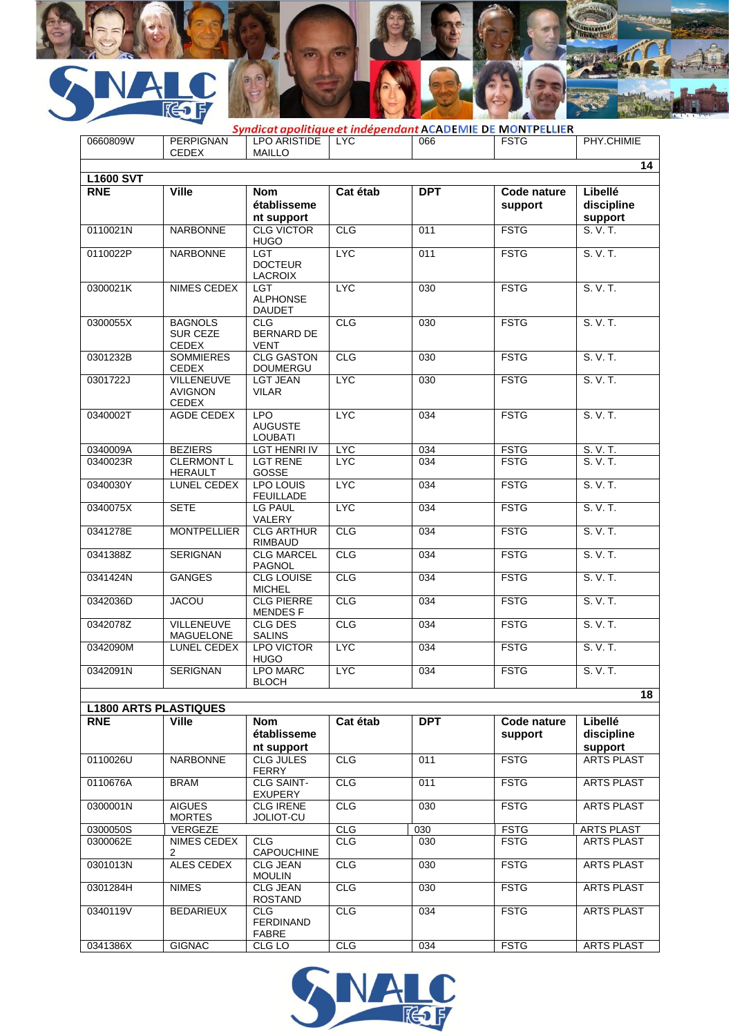

| 0660809W                       | <b>PERPIGNAN</b><br><b>CEDEX</b>                  | <b>LPO ARISTIDE</b><br><b>MAILLO</b>           | <b>LYC</b> | 066        | Syndicat apolitique et indépendant ACADEMIE DE MONTPELLIER<br><b>FSTG</b> | PHY.CHIMIE                       |
|--------------------------------|---------------------------------------------------|------------------------------------------------|------------|------------|---------------------------------------------------------------------------|----------------------------------|
|                                |                                                   |                                                |            |            |                                                                           | 14                               |
| <b>L1600 SVT</b><br><b>RNE</b> | <b>Ville</b>                                      | <b>Nom</b><br>établisseme<br>nt support        | Cat étab   | <b>DPT</b> | Code nature<br>support                                                    | Libellé<br>discipline<br>support |
| 0110021N                       | <b>NARBONNE</b>                                   | <b>CLG VICTOR</b><br><b>HUGO</b>               | CLG        | 011        | <b>FSTG</b>                                                               | S. V. T.                         |
| 0110022P                       | <b>NARBONNE</b>                                   | LGT<br><b>DOCTEUR</b><br>LACROIX               | <b>LYC</b> | 011        | <b>FSTG</b>                                                               | S. V. T.                         |
| 0300021K                       | NIMES CEDEX                                       | <b>LGT</b><br><b>ALPHONSE</b><br><b>DAUDET</b> | <b>LYC</b> | 030        | <b>FSTG</b>                                                               | S. V. T.                         |
| 0300055X                       | <b>BAGNOLS</b><br><b>SUR CEZE</b><br><b>CEDEX</b> | CLG<br><b>BERNARD DE</b><br><b>VENT</b>        | CLG        | 030        | <b>FSTG</b>                                                               | S. V. T.                         |
| 0301232B                       | <b>SOMMIERES</b><br>CEDEX                         | <b>CLG GASTON</b><br><b>DOUMERGU</b>           | CLG        | 030        | <b>FSTG</b>                                                               | S. V. T.                         |
| 0301722J                       | <b>VILLENEUVE</b><br><b>AVIGNON</b><br>CEDEX      | <b>LGT JEAN</b><br><b>VILAR</b>                | <b>LYC</b> | 030        | <b>FSTG</b>                                                               | S. V. T.                         |
| 0340002T                       | AGDE CEDEX                                        | LPO<br><b>AUGUSTE</b><br><b>LOUBATI</b>        | <b>LYC</b> | 034        | <b>FSTG</b>                                                               | S. V. T.                         |
| 0340009A                       | <b>BEZIERS</b>                                    | <b>LGT HENRI IV</b>                            | <b>LYC</b> | 034        | <b>FSTG</b>                                                               | S. V. T.                         |
| 0340023R                       | <b>CLERMONT L</b><br><b>HERAULT</b>               | <b>LGT RENE</b><br>GOSSE                       | <b>LYC</b> | 034        | <b>FSTG</b>                                                               | S. V. T.                         |
| 0340030Y                       | LUNEL CEDEX                                       | <b>LPO LOUIS</b><br><b>FEUILLADE</b>           | <b>LYC</b> | 034        | <b>FSTG</b>                                                               | S. V. T.                         |
| 0340075X                       | <b>SETE</b>                                       | <b>LG PAUL</b><br>VALERY                       | <b>LYC</b> | 034        | <b>FSTG</b>                                                               | S. V. T.                         |
| 0341278E                       | <b>MONTPELLIER</b>                                | <b>CLG ARTHUR</b><br><b>RIMBAUD</b>            | <b>CLG</b> | 034        | <b>FSTG</b>                                                               | S. V. T.                         |
| 0341388Z                       | <b>SERIGNAN</b>                                   | <b>CLG MARCEL</b><br><b>PAGNOL</b>             | CLG        | 034        | <b>FSTG</b>                                                               | S. V. T.                         |
| 0341424N                       | <b>GANGES</b>                                     | <b>CLG LOUISE</b><br><b>MICHEL</b>             | <b>CLG</b> | 034        | <b>FSTG</b>                                                               | S. V. T.                         |
| 0342036D                       | <b>JACOU</b>                                      | <b>CLG PIERRE</b><br><b>MENDESF</b>            | CLG        | 034        | <b>FSTG</b>                                                               | S. V. T.                         |
| 0342078Z                       | <b>VILLENEUVE</b><br>MAGUELONE                    | <b>CLG DES</b><br><b>SALINS</b>                | CLG        | 034        | <b>FSTG</b>                                                               | S. V. T.                         |
| 0342090M                       | LUNEL CEDEX                                       | <b>LPO VICTOR</b><br><b>HUGO</b>               | <b>LYC</b> | 034        | <b>FSTG</b>                                                               | S. V. T.                         |
| 0342091N                       | <b>SERIGNAN</b>                                   | <b>LPO MARC</b><br><b>BLOCH</b>                | <b>LYC</b> | 034        | <b>FSTG</b>                                                               | S. V. T.                         |
|                                | <b>L1800 ARTS PLASTIQUES</b>                      |                                                |            |            |                                                                           | 18                               |
| <b>RNE</b>                     | <b>Ville</b>                                      | <b>Nom</b>                                     | Cat étab   | <b>DPT</b> | Code nature                                                               | Libellé                          |
|                                |                                                   | établisseme<br>nt support                      |            |            | support                                                                   | discipline<br>support            |
| 0110026U                       | <b>NARBONNE</b>                                   | CLG JULES<br><b>FERRY</b>                      | <b>CLG</b> | 011        | <b>FSTG</b>                                                               | <b>ARTS PLAST</b>                |
| 0110676A                       | <b>BRAM</b>                                       | <b>CLG SAINT-</b><br><b>EXUPERY</b>            | <b>CLG</b> | 011        | <b>FSTG</b>                                                               | <b>ARTS PLAST</b>                |
| 0300001N                       | <b>AIGUES</b><br><b>MORTES</b>                    | <b>CLG IRENE</b><br>JOLIOT-CU                  | <b>CLG</b> | 030        | <b>FSTG</b>                                                               | <b>ARTS PLAST</b>                |
| 0300050S                       | <b>VERGEZE</b>                                    |                                                | <b>CLG</b> | 030        | <b>FSTG</b>                                                               | ARTS PLAST                       |
| 0300062E                       | NIMES CEDEX<br>2                                  | <b>CLG</b><br>CAPOUCHINE                       | CLG        | 030        | <b>FSTG</b>                                                               | <b>ARTS PLAST</b>                |
| 0301013N                       | <b>ALES CEDEX</b>                                 | <b>CLG JEAN</b><br><b>MOULIN</b>               | <b>CLG</b> | 030        | <b>FSTG</b>                                                               | <b>ARTS PLAST</b>                |
| 0301284H                       | <b>NIMES</b>                                      | <b>CLG JEAN</b><br><b>ROSTAND</b>              | <b>CLG</b> | 030        | <b>FSTG</b>                                                               | <b>ARTS PLAST</b>                |
| 0340119V                       | <b>BEDARIEUX</b>                                  | <b>CLG</b><br><b>FERDINAND</b><br><b>FABRE</b> | CLG        | 034        | <b>FSTG</b>                                                               | <b>ARTS PLAST</b>                |
| 0341386X                       | <b>GIGNAC</b>                                     | CLG LO                                         | <b>CLG</b> | 034        | <b>FSTG</b>                                                               | <b>ARTS PLAST</b>                |

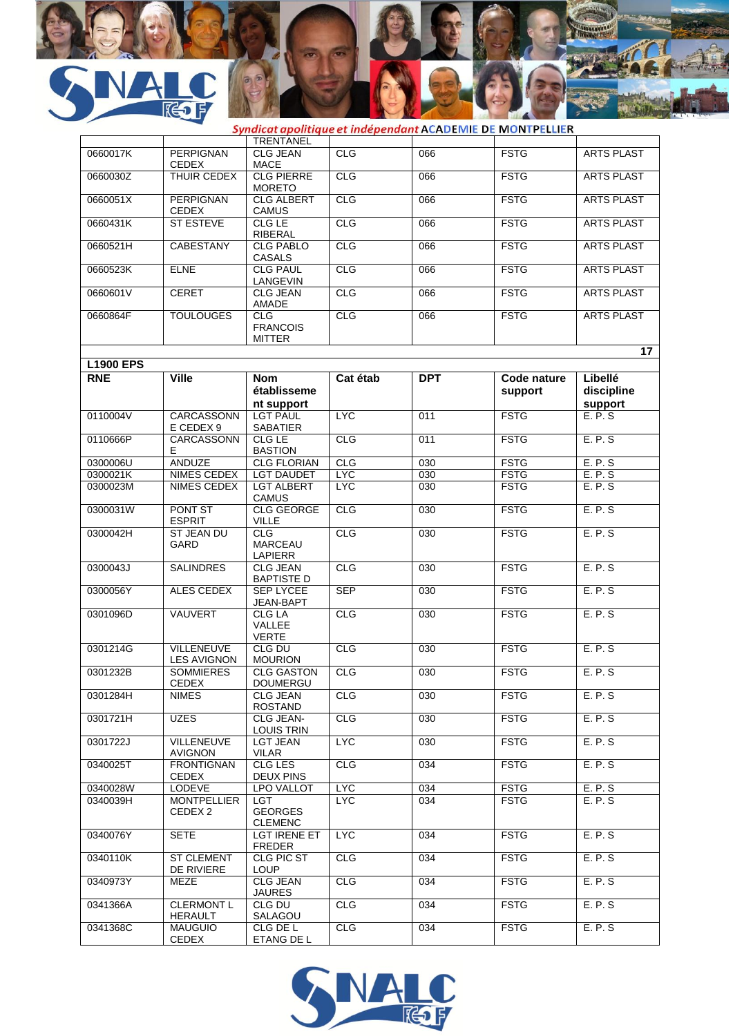

| - -              |                                     |                                                |            |            | Syndicat apolitique et indépendant ACADEMIE DE MONTPELLIER |                       |
|------------------|-------------------------------------|------------------------------------------------|------------|------------|------------------------------------------------------------|-----------------------|
|                  |                                     | <b>TRENTANEL</b>                               |            |            |                                                            |                       |
| 0660017K         | <b>PERPIGNAN</b><br><b>CEDEX</b>    | <b>CLG JEAN</b><br><b>MACE</b>                 | CLG        | 066        | <b>FSTG</b>                                                | <b>ARTS PLAST</b>     |
| 0660030Z         | THUIR CEDEX                         | <b>CLG PIERRE</b><br><b>MORETO</b>             | <b>CLG</b> | 066        | <b>FSTG</b>                                                | <b>ARTS PLAST</b>     |
| 0660051X         | <b>PERPIGNAN</b><br>CEDEX           | <b>CLG ALBERT</b><br><b>CAMUS</b>              | CLG        | 066        | <b>FSTG</b>                                                | <b>ARTS PLAST</b>     |
| 0660431K         | <b>ST ESTEVE</b>                    | CLG LE<br><b>RIBERAL</b>                       | CLG        | 066        | <b>FSTG</b>                                                | <b>ARTS PLAST</b>     |
| 0660521H         | <b>CABESTANY</b>                    | <b>CLG PABLO</b><br>CASALS                     | CLG        | 066        | <b>FSTG</b>                                                | <b>ARTS PLAST</b>     |
| 0660523K         | <b>ELNE</b>                         | <b>CLG PAUL</b><br>LANGEVIN                    | CLG        | 066        | <b>FSTG</b>                                                | <b>ARTS PLAST</b>     |
| 0660601V         | <b>CERET</b>                        | <b>CLG JEAN</b><br>AMADE                       | <b>CLG</b> | 066        | <b>FSTG</b>                                                | <b>ARTS PLAST</b>     |
| 0660864F         | <b>TOULOUGES</b>                    | <b>CLG</b><br><b>FRANCOIS</b><br><b>MITTER</b> | CLG        | 066        | <b>FSTG</b>                                                | <b>ARTS PLAST</b>     |
|                  |                                     |                                                |            |            |                                                            | 17                    |
| <b>L1900 EPS</b> |                                     |                                                |            |            |                                                            |                       |
| <b>RNE</b>       | <b>Ville</b>                        | <b>Nom</b><br>établisseme<br>nt support        | Cat étab   | <b>DPT</b> | <b>Code nature</b><br>support                              | Libellé<br>discipline |
| 0110004V         | CARCASSONN<br>E CEDEX 9             | <b>LGT PAUL</b><br><b>SABATIER</b>             | <b>LYC</b> | 011        | <b>FSTG</b>                                                | support<br>E.P.S      |
| 0110666P         | CARCASSONN<br>E.                    | CLG LE<br><b>BASTION</b>                       | <b>CLG</b> | 011        | <b>FSTG</b>                                                | E.P.S                 |
| 0300006U         | <b>ANDUZE</b>                       | <b>CLG FLORIAN</b>                             | CLG        | 030        | <b>FSTG</b>                                                | E.P.S                 |
| 0300021K         | NIMES CEDEX                         | <b>LGT DAUDET</b>                              | <b>LYC</b> | 030        | <b>FSTG</b>                                                | E.P.S                 |
| 0300023M         | NIMES CEDEX                         | <b>LGT ALBERT</b><br><b>CAMUS</b>              | <b>LYC</b> | 030        | <b>FSTG</b>                                                | E. P. S               |
| 0300031W         | <b>PONT ST</b><br><b>ESPRIT</b>     | <b>CLG GEORGE</b><br>VILLE                     | CLG        | 030        | <b>FSTG</b>                                                | E.P.S                 |
| 0300042H         | ST JEAN DU<br>GARD                  | <b>CLG</b><br><b>MARCEAU</b><br>LAPIERR        | <b>CLG</b> | 030        | <b>FSTG</b>                                                | E. P. S               |
| 0300043J         | <b>SALINDRES</b>                    | <b>CLG JEAN</b><br><b>BAPTISTE D</b>           | CLG        | 030        | <b>FSTG</b>                                                | E.P.S                 |
| 0300056Y         | ALES CEDEX                          | <b>SEP LYCEE</b><br>JEAN-BAPT                  | <b>SEP</b> | 030        | <b>FSTG</b>                                                | E.P.S                 |
| 0301096D         | <b>VAUVERT</b>                      | <b>CLG LA</b><br>VALLEE<br><b>VERTE</b>        | <b>CLG</b> | 030        | <b>FSTG</b>                                                | E. P. S               |
| 0301214G         | VILLENEUVE<br><b>LES AVIGNON</b>    | CLG DU<br><b>MOURION</b>                       | <b>CLG</b> | 030        | <b>FSTG</b>                                                | E.P.S                 |
| 0301232B         | <b>SOMMIERES</b><br><b>CEDEX</b>    | <b>CLG GASTON</b><br><b>DOUMERGU</b>           | CLG        | 030        | <b>FSTG</b>                                                | E.P.S                 |
| 0301284H         | <b>NIMES</b>                        | <b>CLG JEAN</b><br><b>ROSTAND</b>              | <b>CLG</b> | 030        | <b>FSTG</b>                                                | E.P.S                 |
| 0301721H         | UZES                                | CLG JEAN-<br>LOUIS TRIN                        | <b>CLG</b> | 030        | <b>FSTG</b>                                                | E. P. S               |
| 0301722J         | <b>VILLENEUVE</b><br><b>AVIGNON</b> | <b>LGT JEAN</b><br><b>VILAR</b>                | <b>LYC</b> | 030        | <b>FSTG</b>                                                | E.P.S                 |
| 0340025T         | <b>FRONTIGNAN</b><br><b>CEDEX</b>   | CLG LES<br><b>DEUX PINS</b>                    | <b>CLG</b> | 034        | <b>FSTG</b>                                                | E. P. S               |
| 0340028W         | LODEVE                              | <b>LPO VALLOT</b>                              | <b>LYC</b> | 034        | <b>FSTG</b>                                                | E. P. S               |
| 0340039H         | <b>MONTPELLIER</b><br>CEDEX 2       | LGT<br><b>GEORGES</b><br><b>CLEMENC</b>        | LYC.       | 034        | <b>FSTG</b>                                                | E. P. S.              |
| 0340076Y         | SETE                                | LGT IRENE ET<br><b>FREDER</b>                  | <b>LYC</b> | 034        | <b>FSTG</b>                                                | E.P.S                 |
| 0340110K         | <b>ST CLEMENT</b><br>DE RIVIERE     | CLG PIC ST<br><b>LOUP</b>                      | <b>CLG</b> | 034        | <b>FSTG</b>                                                | E.P.S                 |
| 0340973Y         | MEZE                                | <b>CLG JEAN</b><br><b>JAURES</b>               | <b>CLG</b> | 034        | <b>FSTG</b>                                                | E. P. S               |
| 0341366A         | <b>CLERMONT L</b><br><b>HERAULT</b> | CLG DU<br>SALAGOU                              | <b>CLG</b> | 034        | <b>FSTG</b>                                                | E.P.S                 |
| 0341368C         | <b>MAUGUIO</b><br>CEDEX             | CLG DE L<br>ETANG DE L                         | <b>CLG</b> | 034        | <b>FSTG</b>                                                | E. P. S.              |

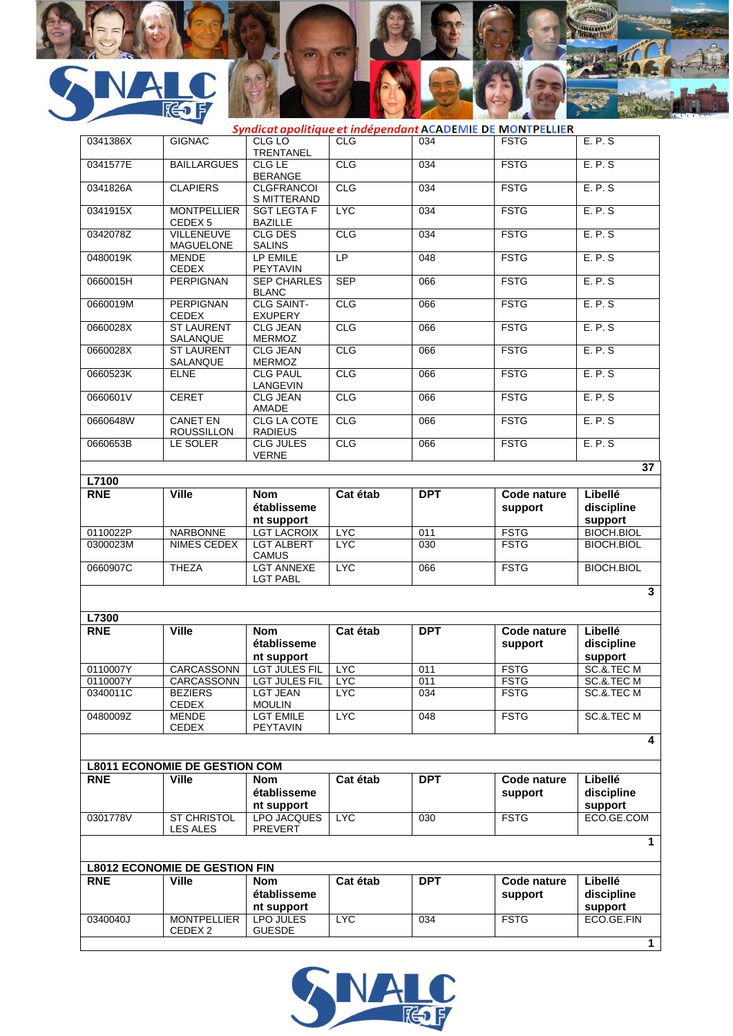

|            | $\sim$                                   |                                         |            |            | Syndicat apolitique et indépendant ACADEMIE DE MONTPELLIER |                                  |
|------------|------------------------------------------|-----------------------------------------|------------|------------|------------------------------------------------------------|----------------------------------|
| 0341386X   | <b>GIGNAC</b>                            | CLG LO<br><b>TRENTANEL</b>              | <b>CLG</b> | 034        | <b>FSTG</b>                                                | E. P. S                          |
| 0341577E   | <b>BAILLARGUES</b>                       | CLG LE<br><b>BERANGE</b>                | CLG        | 034        | <b>FSTG</b>                                                | E.P.S                            |
| 0341826A   | <b>CLAPIERS</b>                          | <b>CLGFRANCOI</b><br>S MITTERAND        | CLG        | 034        | <b>FSTG</b>                                                | E.P.S                            |
| 0341915X   | <b>MONTPELLIER</b><br>CEDEX <sub>5</sub> | <b>SGT LEGTA F</b><br><b>BAZILLE</b>    | <b>LYC</b> | 034        | <b>FSTG</b>                                                | E.P.S                            |
| 0342078Z   | <b>VILLENEUVE</b><br>MAGUELONE           | <b>CLG DES</b><br><b>SALINS</b>         | CLG        | 034        | <b>FSTG</b>                                                | E.P.S                            |
| 0480019K   | <b>MENDE</b><br><b>CEDEX</b>             | LP EMILE<br>PEYTAVIN                    | LP         | 048        | <b>FSTG</b>                                                | E.P.S                            |
| 0660015H   | <b>PERPIGNAN</b>                         | <b>SEP CHARLES</b><br><b>BLANC</b>      | <b>SEP</b> | 066        | <b>FSTG</b>                                                | E.P.S                            |
| 0660019M   | <b>PERPIGNAN</b><br><b>CEDEX</b>         | <b>CLG SAINT-</b><br><b>EXUPERY</b>     | CLG        | 066        | <b>FSTG</b>                                                | E.P.S                            |
| 0660028X   | <b>ST LAURENT</b><br>SALANQUE            | <b>CLG JEAN</b><br><b>MERMOZ</b>        | CLG        | 066        | <b>FSTG</b>                                                | E.P.S                            |
| 0660028X   | <b>ST LAURENT</b><br>SALANQUE            | <b>CLG JEAN</b><br><b>MERMOZ</b>        | CLG        | 066        | <b>FSTG</b>                                                | E.P.S                            |
| 0660523K   | <b>ELNE</b>                              | <b>CLG PAUL</b><br>LANGEVIN             | CLG        | 066        | <b>FSTG</b>                                                | E.P.S                            |
| 0660601V   | <b>CERET</b>                             | <b>CLG JEAN</b><br>AMADE                | CLG        | 066        | <b>FSTG</b>                                                | E.P.S                            |
| 0660648W   | <b>CANET EN</b><br><b>ROUSSILLON</b>     | <b>CLG LA COTE</b><br><b>RADIEUS</b>    | <b>CLG</b> | 066        | <b>FSTG</b>                                                | E.P.S                            |
| 0660653B   | LE SOLER                                 | <b>CLG JULES</b><br><b>VERNE</b>        | CLG        | 066        | <b>FSTG</b>                                                | E.P.S                            |
| L7100      |                                          |                                         |            |            |                                                            | 37                               |
| <b>RNE</b> | <b>Ville</b>                             | <b>Nom</b>                              | Cat étab   | <b>DPT</b> | Code nature                                                | Libellé                          |
|            |                                          | établisseme<br>nt support               |            |            | support                                                    | discipline<br>support            |
| 0110022P   | <b>NARBONNE</b>                          | <b>LGT LACROIX</b>                      | <b>LYC</b> | 011        | <b>FSTG</b>                                                | <b>BIOCH.BIOL</b>                |
| 0300023M   | NIMES CEDEX                              | <b>LGT ALBERT</b><br><b>CAMUS</b>       | <b>LYC</b> | 030        | <b>FSTG</b>                                                | <b>BIOCH.BIOL</b>                |
| 0660907C   | <b>THEZA</b>                             | <b>LGT ANNEXE</b><br><b>LGT PABL</b>    | <b>LYC</b> | 066        | <b>FSTG</b>                                                | <b>BIOCH.BIOL</b>                |
|            |                                          |                                         |            |            |                                                            | $\overline{\mathbf{3}}$          |
| L7300      |                                          |                                         |            |            |                                                            |                                  |
| <b>RNE</b> | <b>Ville</b>                             | <b>Nom</b><br>établisseme<br>nt support | Cat étab   | <b>DPT</b> | Code nature<br>support                                     | Libellé<br>discipline<br>support |
| 0110007Y   |                                          | CARCASSONN LGT JULES FIL LYC            |            | 011        | <b>FSTG</b>                                                | SC.&.TEC M                       |
| 0110007Y   | CARCASSONN                               | <b>LGT JULES FIL</b>                    | <b>LYC</b> | 011        | <b>FSTG</b>                                                | SC.&.TEC M                       |
| 0340011C   | <b>BEZIERS</b><br><b>CEDEX</b>           | <b>LGT JEAN</b><br><b>MOULIN</b>        | <b>LYC</b> | 034        | <b>FSTG</b>                                                | SC.&.TEC M                       |
| 0480009Z   | MENDE<br><b>CEDEX</b>                    | <b>LGT EMILE</b><br>PEYTAVIN            | <b>LYC</b> | 048        | <b>FSTG</b>                                                | SC.&.TEC M                       |
|            |                                          |                                         |            |            |                                                            | 4                                |
|            | <b>L8011 ECONOMIE DE GESTION COM</b>     |                                         |            |            |                                                            |                                  |
| <b>RNE</b> | <b>Ville</b>                             | Nom<br>établisseme                      | Cat étab   | <b>DPT</b> | Code nature<br>support                                     | Libellé<br>discipline            |
|            |                                          | nt support                              |            |            |                                                            | support                          |
| 0301778V   | ST CHRISTOL<br>LES ALES                  | <b>LPO JACQUES</b><br>PREVERT           | <b>LYC</b> | 030        | <b>FSTG</b>                                                | ECO.GE.COM                       |
|            |                                          |                                         |            |            |                                                            | 1                                |
|            | <b>L8012 ECONOMIE DE GESTION FIN</b>     |                                         |            |            |                                                            |                                  |
| <b>RNE</b> | <b>Ville</b>                             | <b>Nom</b><br>établisseme<br>nt support | Cat étab   | <b>DPT</b> | Code nature<br>support                                     | Libellé<br>discipline<br>support |
| 0340040J   | <b>MONTPELLIER</b><br>CEDEX 2            | LPO JULES<br><b>GUESDE</b>              | <b>LYC</b> | 034        | <b>FSTG</b>                                                | ECO.GE.FIN                       |
|            |                                          |                                         |            |            |                                                            | $\mathbf{1}$                     |

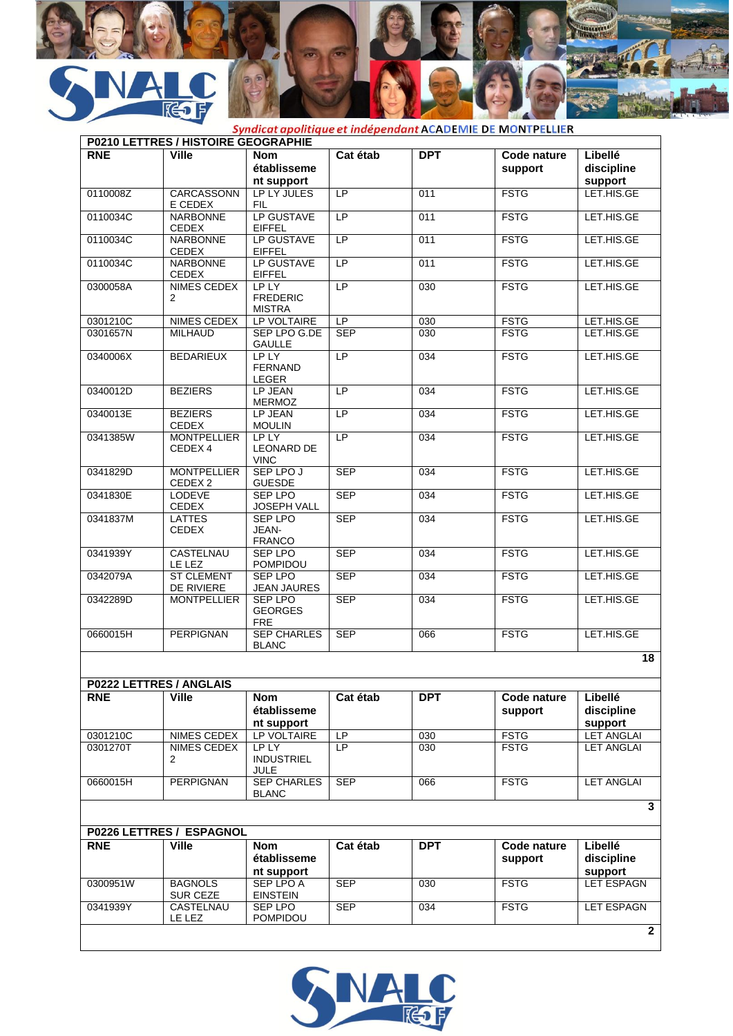

|            | P0210 LETTRES / HISTOIRE GEOGRAPHIE |                                           |                 |            |                        |                                  |
|------------|-------------------------------------|-------------------------------------------|-----------------|------------|------------------------|----------------------------------|
| <b>RNE</b> | <b>Ville</b>                        | <b>Nom</b><br>établisseme<br>nt support   | Cat étab        | <b>DPT</b> | Code nature<br>support | Libellé<br>discipline<br>support |
| 0110008Z   | CARCASSONN<br>E CEDEX               | LP LY JULES<br><b>FIL</b>                 | LP              | 011        | <b>FSTG</b>            | LET.HIS.GE                       |
| 0110034C   | <b>NARBONNE</b><br><b>CEDEX</b>     | <b>LP GUSTAVE</b><br><b>EIFFEL</b>        | $\overline{LP}$ | 011        | <b>FSTG</b>            | LET.HIS.GE                       |
| 0110034C   | <b>NARBONNE</b><br><b>CEDEX</b>     | LP GUSTAVE<br><b>EIFFEL</b>               | $\overline{LP}$ | 011        | <b>FSTG</b>            | LET.HIS.GE                       |
| 0110034C   | <b>NARBONNE</b><br><b>CEDEX</b>     | LP GUSTAVE<br><b>EIFFEL</b>               | <b>LP</b>       | 011        | <b>FSTG</b>            | LET.HIS.GE                       |
| 0300058A   | NIMES CEDEX<br>$\overline{2}$       | LP LY<br><b>FREDERIC</b><br><b>MISTRA</b> | LP              | 030        | <b>FSTG</b>            | LET.HIS.GE                       |
| 0301210C   | NIMES CEDEX                         | LP VOLTAIRE                               | LP.             | 030        | <b>FSTG</b>            | LET.HIS.GE                       |
| 0301657N   | <b>MILHAUD</b>                      | SEP LPO G.DE<br><b>GAULLE</b>             | <b>SEP</b>      | 030        | <b>FSTG</b>            | LET.HIS.GE                       |
| 0340006X   | <b>BEDARIEUX</b>                    | LP LY<br><b>FERNAND</b><br>LEGER          | LP              | 034        | <b>FSTG</b>            | LET.HIS.GE                       |
| 0340012D   | <b>BEZIERS</b>                      | LP JEAN<br><b>MERMOZ</b>                  | LP              | 034        | <b>FSTG</b>            | LET.HIS.GE                       |
| 0340013E   | <b>BEZIERS</b><br><b>CEDEX</b>      | LP JEAN<br><b>MOULIN</b>                  | LP              | 034        | <b>FSTG</b>            | LET.HIS.GE                       |
| 0341385W   | <b>MONTPELLIER</b><br>CEDEX 4       | LP LY<br><b>LEONARD DE</b><br><b>VINC</b> | LP              | 034        | <b>FSTG</b>            | LET.HIS.GE                       |
| 0341829D   | <b>MONTPELLIER</b><br>CEDEX 2       | SEP LPO J<br><b>GUESDE</b>                | <b>SEP</b>      | 034        | <b>FSTG</b>            | LET.HIS.GE                       |
| 0341830E   | <b>LODEVE</b><br><b>CEDEX</b>       | <b>SEP LPO</b><br>JOSEPH VALL             | <b>SEP</b>      | 034        | <b>FSTG</b>            | LET.HIS.GE                       |
| 0341837M   | <b>LATTES</b><br>CEDEX              | <b>SEP LPO</b><br>JEAN-<br><b>FRANCO</b>  | <b>SEP</b>      | 034        | <b>FSTG</b>            | LET.HIS.GE                       |
| 0341939Y   | CASTELNAU<br>LE LEZ                 | <b>SEP LPO</b><br>POMPIDOU                | <b>SEP</b>      | 034        | <b>FSTG</b>            | LET.HIS.GE                       |
| 0342079A   | <b>ST CLEMENT</b><br>DE RIVIERE     | <b>SEP LPO</b><br>JEAN JAURES             | <b>SEP</b>      | 034        | <b>FSTG</b>            | LET.HIS.GE                       |
| 0342289D   | <b>MONTPELLIER</b>                  | SEP LPO<br><b>GEORGES</b><br><b>FRE</b>   | <b>SEP</b>      | 034        | <b>FSTG</b>            | LET.HIS.GE                       |
| 0660015H   | <b>PERPIGNAN</b>                    | <b>SEP CHARLES</b><br><b>BLANC</b>        | <b>SEP</b>      | 066        | <b>FSTG</b>            | LET.HIS.GE                       |
|            |                                     |                                           |                 |            |                        | 18                               |
|            | P0222 LETTRES / ANGLAIS             |                                           |                 |            |                        |                                  |
| <b>RNE</b> | <b>Ville</b>                        | <b>Nom</b><br>établisseme<br>nt support   | Cat étab        | <b>DPT</b> | Code nature<br>support | Libellé<br>discipline<br>support |
| 0301210C   | NIMES CEDEX                         | LP VOLTAIRE                               | LP              | 030        | <b>FSTG</b>            | <b>LET ANGLAI</b>                |
| 0301270T   | NIMES CEDEX<br>2                    | LP LY<br><b>INDUSTRIEL</b><br><b>JULE</b> | LP              | 030        | <b>FSTG</b>            | <b>LET ANGLAI</b>                |
| 0660015H   | PERPIGNAN                           | <b>SEP CHARLES</b><br><b>BLANC</b>        | <b>SEP</b>      | 066        | <b>FSTG</b>            | <b>LET ANGLAI</b>                |
|            | P0226 LETTRES / ESPAGNOL            |                                           |                 |            |                        | $\overline{\mathbf{3}}$          |
|            |                                     |                                           |                 |            |                        |                                  |
| <b>RNE</b> | <b>Ville</b>                        | <b>Nom</b><br>établisseme<br>nt support   | Cat étab        | <b>DPT</b> | Code nature<br>support | Libellé<br>discipline<br>support |
| 0300951W   | <b>BAGNOLS</b><br><b>SUR CEZE</b>   | <b>SEP LPO A</b><br><b>EINSTEIN</b>       | <b>SEP</b>      | 030        | <b>FSTG</b>            | <b>LET ESPAGN</b>                |
| 0341939Y   | CASTELNAU<br>LE LEZ                 | SEP LPO<br>POMPIDOU                       | <b>SEP</b>      | 034        | <b>FSTG</b>            | <b>LET ESPAGN</b>                |

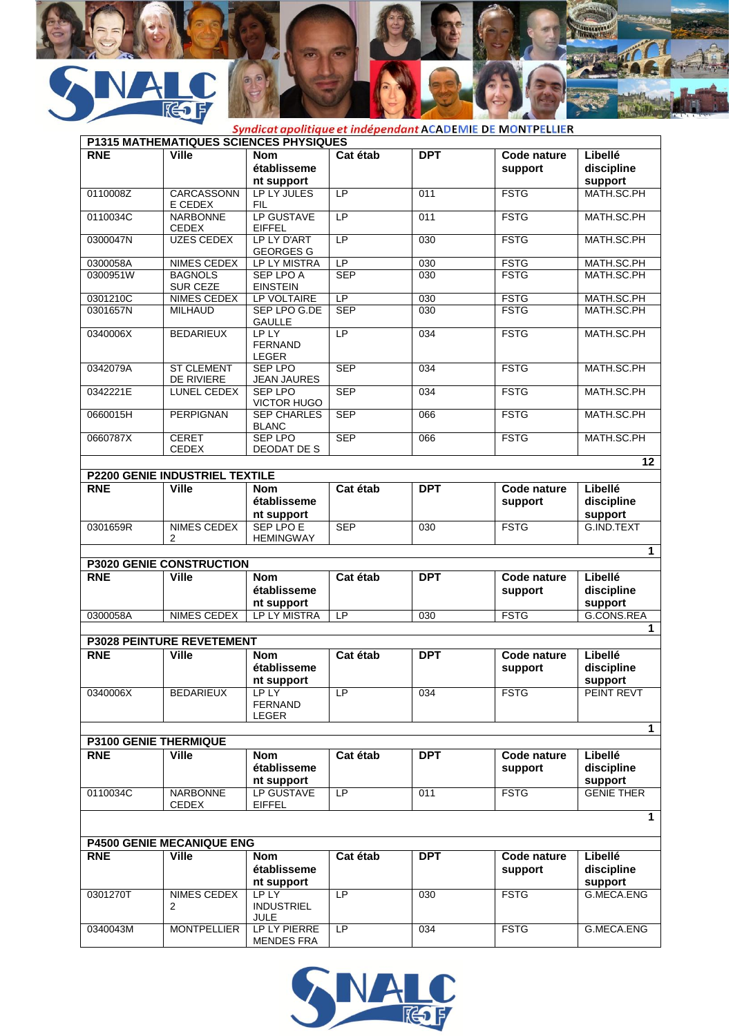

|            | P1315 MATHEMATIQUES SCIENCES PHYSIQUES                |                                         |                 |                  |                        |                                  |
|------------|-------------------------------------------------------|-----------------------------------------|-----------------|------------------|------------------------|----------------------------------|
| <b>RNE</b> | <b>Ville</b>                                          | <b>Nom</b><br>établisseme<br>nt support | Cat étab        | <b>DPT</b>       | Code nature<br>support | Libellé<br>discipline<br>support |
| 0110008Z   | CARCASSONN                                            | LP LY JULES                             | LP              | 011              | <b>FSTG</b>            | MATH.SC.PH                       |
|            | E CEDEX                                               | <b>FIL</b>                              |                 |                  |                        |                                  |
| 0110034C   | <b>NARBONNE</b><br><b>CEDEX</b>                       | LP GUSTAVE<br><b>EIFFEL</b>             | LP              | 011              | <b>FSTG</b>            | MATH.SC.PH                       |
| 0300047N   | <b>UZES CEDEX</b>                                     | LP LY D'ART<br><b>GEORGES G</b>         | $\overline{LP}$ | 030              | <b>FSTG</b>            | MATH.SC.PH                       |
| 0300058A   | NIMES CEDEX                                           | LP LY MISTRA                            | LP              | 030              | <b>FSTG</b>            | MATH.SC.PH                       |
| 0300951W   | <b>BAGNOLS</b><br>SUR CEZE                            | <b>SEP LPO A</b><br><b>EINSTEIN</b>     | <b>SEP</b>      | 030              | <b>FSTG</b>            | MATH.SC.PH                       |
| 0301210C   | <b>NIMES CEDEX</b>                                    | LP VOLTAIRE                             | LP              | 030              | <b>FSTG</b>            | MATH.SC.PH                       |
| 0301657N   | <b>MILHAUD</b>                                        | SEP LPO G.DE<br><b>GAULLE</b>           | <b>SEP</b>      | $\overline{030}$ | <b>FSTG</b>            | MATH.SC.PH                       |
| 0340006X   | <b>BEDARIEUX</b>                                      | LP LY<br><b>FERNAND</b><br>LEGER        | LP              | 034              | <b>FSTG</b>            | MATH.SC.PH                       |
| 0342079A   | <b>ST CLEMENT</b><br>DE RIVIERE                       | <b>SEP LPO</b><br><b>JEAN JAURES</b>    | <b>SEP</b>      | 034              | <b>FSTG</b>            | MATH.SC.PH                       |
| 0342221E   | LUNEL CEDEX                                           | <b>SEP LPO</b><br><b>VICTOR HUGO</b>    | <b>SEP</b>      | 034              | <b>FSTG</b>            | MATH.SC.PH                       |
| 0660015H   | <b>PERPIGNAN</b>                                      | <b>SEP CHARLES</b><br><b>BLANC</b>      | <b>SEP</b>      | 066              | <b>FSTG</b>            | MATH.SC.PH                       |
| 0660787X   | <b>CERET</b><br><b>CEDEX</b>                          | SFP I PO<br>DEODAT DE S                 | <b>SEP</b>      | 066              | <b>FSTG</b>            | MATH.SC.PH                       |
|            |                                                       |                                         |                 |                  |                        | 12                               |
| <b>RNE</b> | <b>P2200 GENIE INDUSTRIEL TEXTILE</b><br><b>Ville</b> |                                         |                 | <b>DPT</b>       |                        | Libellé                          |
|            |                                                       | <b>Nom</b><br>établisseme<br>nt support | Cat étab        |                  | Code nature<br>support | discipline<br>support            |
| 0301659R   | NIMES CEDEX                                           | <b>SEP LPO E</b>                        | <b>SEP</b>      | $\overline{030}$ | <b>FSTG</b>            | G.IND.TEXT                       |
|            | 2                                                     | <b>HEMINGWAY</b>                        |                 |                  |                        |                                  |
|            | <b>P3020 GENIE CONSTRUCTION</b>                       |                                         |                 |                  |                        | 1                                |
| <b>RNE</b> | <b>Ville</b>                                          | <b>Nom</b>                              | Cat étab        | <b>DPT</b>       | Code nature            | Libellé                          |
|            |                                                       | établisseme                             |                 |                  | support                | discipline                       |
| 0300058A   | <b>NIMES CEDEX</b>                                    | nt support<br>LP LY MISTRA              | LP              | 030              | <b>FSTG</b>            | support<br>G.CONS.REA            |
|            |                                                       |                                         |                 |                  |                        |                                  |
|            | <b>P3028 PEINTURE REVETEMENT</b>                      |                                         |                 |                  |                        |                                  |
| <b>RNE</b> | <b>Ville</b>                                          | <b>Nom</b><br>établisseme<br>nt support | Cat étab        | <b>DPT</b>       | Code nature<br>support | Libellé<br>discipline<br>support |
| 0340006X   | <b>BEDARIEUX</b>                                      | LP LY<br><b>FERNAND</b><br>LEGER        | LP.             | 034              | <b>FSTG</b>            | PEINT REVT                       |
|            | <b>P3100 GENIE THERMIQUE</b>                          |                                         |                 |                  |                        | $\mathbf{1}$                     |
| <b>RNE</b> | <b>Ville</b>                                          | <b>Nom</b>                              | Cat étab        | <b>DPT</b>       | Code nature            | Libellé                          |
|            |                                                       | établisseme<br>nt support               |                 |                  | support                | discipline<br>support            |
| 0110034C   | <b>NARBONNE</b><br><b>CEDEX</b>                       | LP GUSTAVE<br><b>EIFFEL</b>             | LP              | 011              | <b>FSTG</b>            | <b>GENIE THER</b>                |
|            |                                                       |                                         |                 |                  |                        |                                  |
|            | <b>P4500 GENIE MECANIQUE ENG</b>                      |                                         |                 |                  |                        |                                  |
| <b>RNE</b> | <b>Ville</b>                                          | <b>Nom</b><br>établisseme<br>nt support | Cat étab        | <b>DPT</b>       | Code nature<br>support | Libellé<br>discipline<br>support |
| 0301270T   | NIMES CEDEX<br>2                                      | LP LY<br><b>INDUSTRIEL</b><br>JULE      | LP              | 030              | <b>FSTG</b>            | G.MECA.ENG                       |
| 0340043M   | <b>MONTPELLIER</b>                                    | LP LY PIERRE<br><b>MENDES FRA</b>       | LP              | 034              | <b>FSTG</b>            | G.MECA.ENG                       |

Human

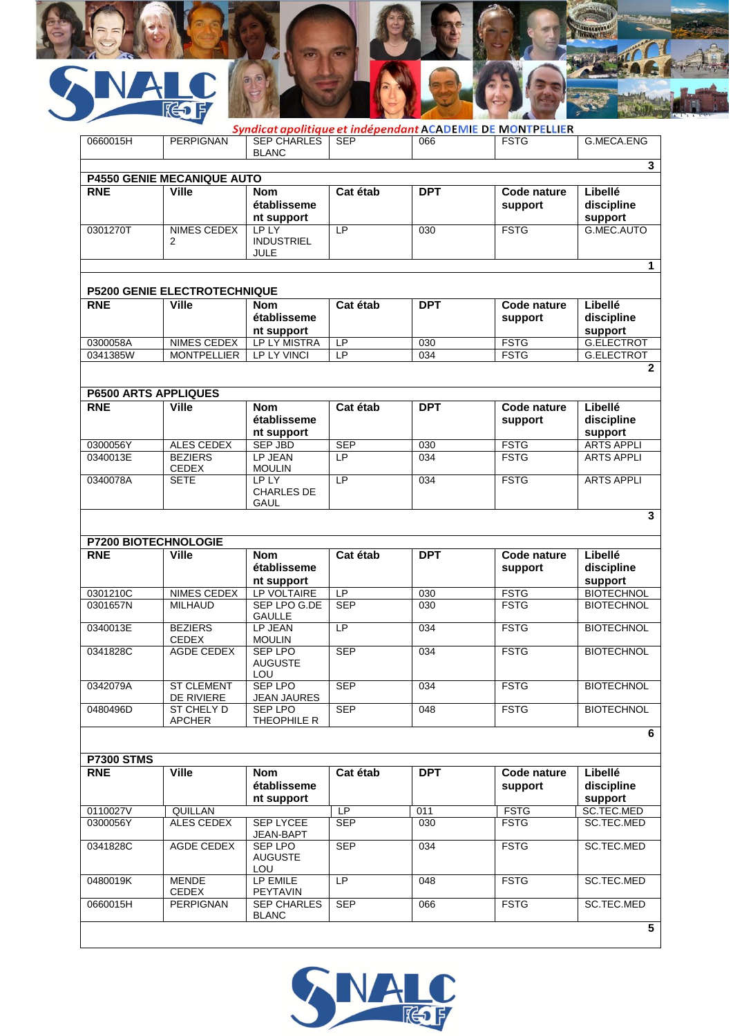

| Syndicat apolitique et indépendant ACADEMIE DE MONTPELLIER   |                                    |                                                  |                 |                  |                        |                                  |  |  |  |  |  |
|--------------------------------------------------------------|------------------------------------|--------------------------------------------------|-----------------|------------------|------------------------|----------------------------------|--|--|--|--|--|
| 0660015H                                                     | <b>PERPIGNAN</b>                   | <b>SEP CHARLES</b><br><b>BLANC</b>               | <b>SEP</b>      | 066              | <b>FSTG</b>            | G.MECA.ENG                       |  |  |  |  |  |
| $\overline{\mathbf{3}}$<br><b>P4550 GENIE MECANIQUE AUTO</b> |                                    |                                                  |                 |                  |                        |                                  |  |  |  |  |  |
| Cat étab                                                     |                                    |                                                  |                 |                  |                        |                                  |  |  |  |  |  |
| <b>RNE</b>                                                   | <b>Ville</b>                       | <b>Nom</b><br>établisseme<br>nt support          |                 | <b>DPT</b>       | Code nature<br>support | Libellé<br>discipline<br>support |  |  |  |  |  |
| 0301270T                                                     | NIMES CEDEX<br>2                   | <b>LP LY</b><br><b>INDUSTRIEL</b><br><b>JULE</b> | LP              | 030              | <b>FSTG</b>            | G.MEC.AUTO                       |  |  |  |  |  |
| 1                                                            |                                    |                                                  |                 |                  |                        |                                  |  |  |  |  |  |
| P5200 GENIE ELECTROTECHNIQUE                                 |                                    |                                                  |                 |                  |                        |                                  |  |  |  |  |  |
| <b>RNE</b>                                                   | <b>Ville</b>                       | <b>Nom</b>                                       | Cat étab        | <b>DPT</b>       | Code nature            | Libellé                          |  |  |  |  |  |
|                                                              |                                    | établisseme<br>nt support                        |                 |                  | support                | discipline<br>support            |  |  |  |  |  |
| 0300058A                                                     | NIMES CEDEX                        | LP LY MISTRA                                     | LP              | 030              | <b>FSTG</b>            | G.ELECTROT                       |  |  |  |  |  |
| 0341385W                                                     | <b>MONTPELLIER</b>                 | LP LY VINCI                                      | LP              | 034              | <b>FSTG</b>            | <b>G.ELECTROT</b>                |  |  |  |  |  |
|                                                              |                                    |                                                  |                 |                  |                        | $\mathbf{2}$                     |  |  |  |  |  |
|                                                              |                                    |                                                  |                 |                  |                        |                                  |  |  |  |  |  |
| <b>P6500 ARTS APPLIQUES</b>                                  |                                    |                                                  |                 |                  |                        |                                  |  |  |  |  |  |
| <b>RNE</b>                                                   | <b>Ville</b>                       | <b>Nom</b><br>établisseme<br>nt support          | Cat étab        | <b>DPT</b>       | Code nature<br>support | Libellé<br>discipline<br>support |  |  |  |  |  |
| 0300056Y                                                     | ALES CEDEX                         | SEP JBD                                          | <b>SEP</b>      | 030              | <b>FSTG</b>            | <b>ARTS APPLI</b>                |  |  |  |  |  |
| 0340013E                                                     | <b>BEZIERS</b><br><b>CEDEX</b>     | LP JEAN<br><b>MOULIN</b>                         | LP              | 034              | <b>FSTG</b>            | <b>ARTS APPLI</b>                |  |  |  |  |  |
| 0340078A                                                     | <b>SETE</b>                        | LP LY<br><b>CHARLES DE</b><br><b>GAUL</b>        | LP              | 034              | <b>FSTG</b>            | <b>ARTS APPLI</b>                |  |  |  |  |  |
| 3                                                            |                                    |                                                  |                 |                  |                        |                                  |  |  |  |  |  |
| <b>P7200 BIOTECHNOLOGIE</b>                                  |                                    |                                                  |                 |                  |                        |                                  |  |  |  |  |  |
| <b>RNE</b>                                                   | <b>Ville</b>                       | <b>Nom</b>                                       | Cat étab        | <b>DPT</b>       | Code nature            | Libellé                          |  |  |  |  |  |
|                                                              |                                    | établisseme<br>nt support                        |                 |                  | support                | discipline<br>support            |  |  |  |  |  |
| 0301210C                                                     | <b>NIMES CEDEX</b>                 | LP VOLTAIRE                                      | $\overline{LP}$ | 030              | <b>FSTG</b>            | <b>BIOTECHNOL</b>                |  |  |  |  |  |
| 0301657N                                                     | <b>MILHAUD</b>                     | SEP LPO G.DE<br><b>GAULLE</b>                    | <b>SEP</b>      | $\overline{030}$ | <b>FSTG</b>            | <b>BIOTECHNOL</b>                |  |  |  |  |  |
| 0340013E                                                     | <b>BEZIERS</b><br><b>CEDEX</b>     | LP JEAN<br><b>MOULIN</b>                         | LP              | 034              | <b>FSTG</b>            | <b>BIOTECHNOL</b>                |  |  |  |  |  |
| 0341828C                                                     | AGDE CEDEX                         | <b>SEP LPO</b><br><b>AUGUSTE</b><br>LOU          | <b>SEP</b>      | 034              | <b>FSTG</b>            | <b>BIOTECHNOL</b>                |  |  |  |  |  |
| 0342079A                                                     | <b>ST CLEMENT</b><br>DE RIVIERE    | SEP LPO<br><b>JEAN JAURES</b>                    | <b>SEP</b>      | 034              | <b>FSTG</b>            | <b>BIOTECHNOL</b>                |  |  |  |  |  |
| 0480496D                                                     | <b>ST CHELY D</b><br><b>APCHER</b> | <b>SEP LPO</b><br>THEOPHILE R                    | <b>SEP</b>      | 048              | <b>FSTG</b>            | <b>BIOTECHNOL</b>                |  |  |  |  |  |
| 6                                                            |                                    |                                                  |                 |                  |                        |                                  |  |  |  |  |  |
| <b>P7300 STMS</b>                                            |                                    |                                                  |                 |                  |                        |                                  |  |  |  |  |  |
| <b>RNE</b>                                                   | <b>Ville</b>                       | Nom<br>établisseme                               | Cat étab        | <b>DPT</b>       | Code nature<br>support | Libellé<br>discipline            |  |  |  |  |  |
|                                                              |                                    | nt support                                       |                 |                  |                        | support                          |  |  |  |  |  |
| 0110027V                                                     | QUILLAN                            |                                                  | LP              | 011              | <b>FSTG</b>            | SC.TEC.MED                       |  |  |  |  |  |
| 0300056Y                                                     | ALES CEDEX                         | <b>SEP LYCEE</b><br>JEAN-BAPT                    | <b>SEP</b>      | 030              | <b>FSTG</b>            | SC.TEC.MED                       |  |  |  |  |  |
| 0341828C                                                     | AGDE CEDEX                         | SEP LPO<br><b>AUGUSTE</b><br>LOU                 | <b>SEP</b>      | 034              | <b>FSTG</b>            | SC.TEC.MED                       |  |  |  |  |  |
| 0480019K                                                     | <b>MENDE</b><br>CEDEX              | LP EMILE<br>PEYTAVIN                             | LP              | 048              | <b>FSTG</b>            | SC.TEC.MED                       |  |  |  |  |  |
| 0660015H                                                     | <b>PERPIGNAN</b>                   | <b>SEP CHARLES</b><br><b>BLANC</b>               | <b>SEP</b>      | 066              | <b>FSTG</b>            | SC.TEC.MED                       |  |  |  |  |  |
|                                                              |                                    |                                                  |                 |                  |                        | 5                                |  |  |  |  |  |